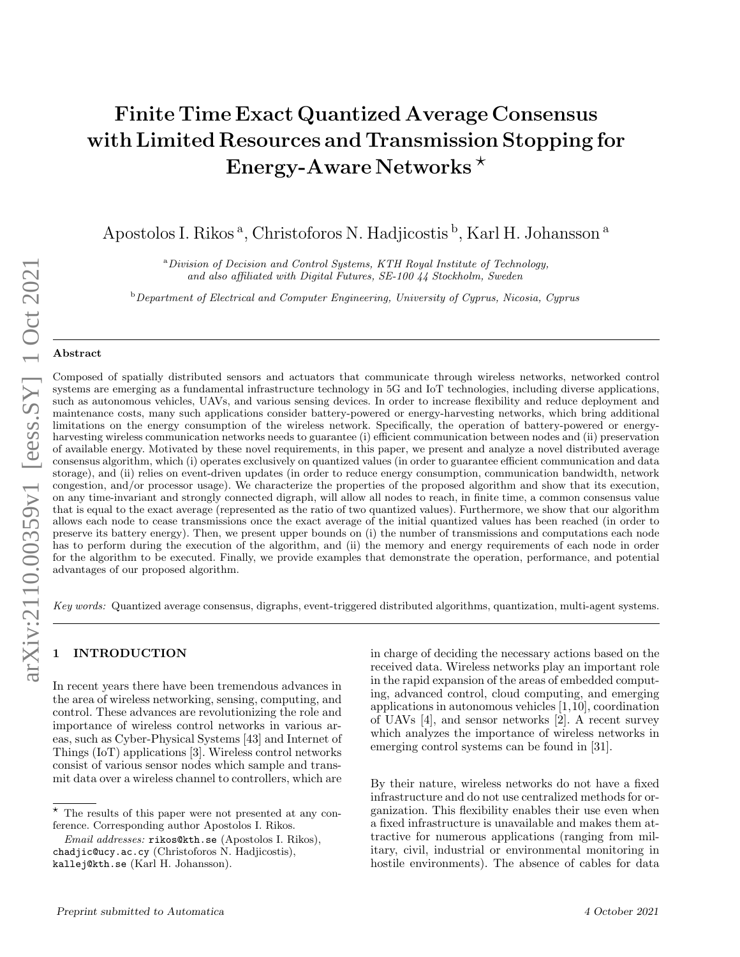# Finite Time Exact Quantized Average Consensus with Limited Resources and Transmission Stopping for Energy-Aware Networks<sup>\*</sup>

Apostolos I. Rikos<sup>a</sup>, Christoforos N. Hadjicostis <sup>b</sup>, Karl H. Johansson<sup>a</sup>

<sup>a</sup>Division of Decision and Control Systems, KTH Royal Institute of Technology, and also affiliated with Digital Futures, SE-100 44 Stockholm, Sweden

 $b$  Department of Electrical and Computer Engineering, University of Cyprus, Nicosia, Cyprus

#### Abstract

Composed of spatially distributed sensors and actuators that communicate through wireless networks, networked control systems are emerging as a fundamental infrastructure technology in 5G and IoT technologies, including diverse applications, such as autonomous vehicles, UAVs, and various sensing devices. In order to increase flexibility and reduce deployment and maintenance costs, many such applications consider battery-powered or energy-harvesting networks, which bring additional limitations on the energy consumption of the wireless network. Specifically, the operation of battery-powered or energyharvesting wireless communication networks needs to guarantee (i) efficient communication between nodes and (ii) preservation of available energy. Motivated by these novel requirements, in this paper, we present and analyze a novel distributed average consensus algorithm, which (i) operates exclusively on quantized values (in order to guarantee efficient communication and data storage), and (ii) relies on event-driven updates (in order to reduce energy consumption, communication bandwidth, network congestion, and/or processor usage). We characterize the properties of the proposed algorithm and show that its execution, on any time-invariant and strongly connected digraph, will allow all nodes to reach, in finite time, a common consensus value that is equal to the exact average (represented as the ratio of two quantized values). Furthermore, we show that our algorithm allows each node to cease transmissions once the exact average of the initial quantized values has been reached (in order to preserve its battery energy). Then, we present upper bounds on (i) the number of transmissions and computations each node has to perform during the execution of the algorithm, and (ii) the memory and energy requirements of each node in order for the algorithm to be executed. Finally, we provide examples that demonstrate the operation, performance, and potential advantages of our proposed algorithm.

Key words: Quantized average consensus, digraphs, event-triggered distributed algorithms, quantization, multi-agent systems.

## **INTRODUCTION**

In recent years there have been tremendous advances in the area of wireless networking, sensing, computing, and control. These advances are revolutionizing the role and importance of wireless control networks in various areas, such as Cyber-Physical Systems [43] and Internet of Things (IoT) applications [3]. Wireless control networks consist of various sensor nodes which sample and transmit data over a wireless channel to controllers, which are in charge of deciding the necessary actions based on the received data. Wireless networks play an important role in the rapid expansion of the areas of embedded computing, advanced control, cloud computing, and emerging applications in autonomous vehicles [1,10], coordination of UAVs [4], and sensor networks [2]. A recent survey which analyzes the importance of wireless networks in emerging control systems can be found in [31].

By their nature, wireless networks do not have a fixed infrastructure and do not use centralized methods for organization. This flexibility enables their use even when a fixed infrastructure is unavailable and makes them attractive for numerous applications (ranging from military, civil, industrial or environmental monitoring in hostile environments). The absence of cables for data

 $\star$  The results of this paper were not presented at any conference. Corresponding author Apostolos I. Rikos.

Email addresses: rikos@kth.se (Apostolos I. Rikos), chadjic@ucy.ac.cy (Christoforos N. Hadjicostis), kallej@kth.se (Karl H. Johansson).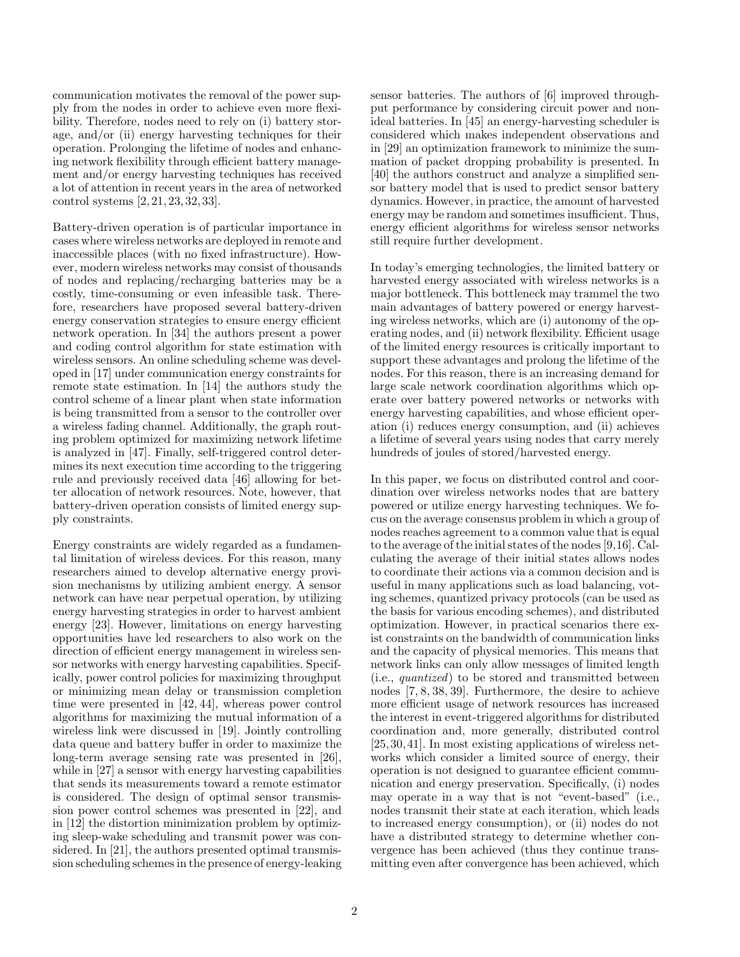communication motivates the removal of the power supply from the nodes in order to achieve even more flexibility. Therefore, nodes need to rely on (i) battery storage, and/or (ii) energy harvesting techniques for their operation. Prolonging the lifetime of nodes and enhancing network flexibility through efficient battery management and/or energy harvesting techniques has received a lot of attention in recent years in the area of networked control systems [2, 21, 23, 32, 33].

Battery-driven operation is of particular importance in cases where wireless networks are deployed in remote and inaccessible places (with no fixed infrastructure). However, modern wireless networks may consist of thousands of nodes and replacing/recharging batteries may be a costly, time-consuming or even infeasible task. Therefore, researchers have proposed several battery-driven energy conservation strategies to ensure energy efficient network operation. In [34] the authors present a power and coding control algorithm for state estimation with wireless sensors. An online scheduling scheme was developed in [17] under communication energy constraints for remote state estimation. In [14] the authors study the control scheme of a linear plant when state information is being transmitted from a sensor to the controller over a wireless fading channel. Additionally, the graph routing problem optimized for maximizing network lifetime is analyzed in [47]. Finally, self-triggered control determines its next execution time according to the triggering rule and previously received data [46] allowing for better allocation of network resources. Note, however, that battery-driven operation consists of limited energy supply constraints.

Energy constraints are widely regarded as a fundamental limitation of wireless devices. For this reason, many researchers aimed to develop alternative energy provision mechanisms by utilizing ambient energy. A sensor network can have near perpetual operation, by utilizing energy harvesting strategies in order to harvest ambient energy [23]. However, limitations on energy harvesting opportunities have led researchers to also work on the direction of efficient energy management in wireless sensor networks with energy harvesting capabilities. Specifically, power control policies for maximizing throughput or minimizing mean delay or transmission completion time were presented in [42, 44], whereas power control algorithms for maximizing the mutual information of a wireless link were discussed in [19]. Jointly controlling data queue and battery buffer in order to maximize the long-term average sensing rate was presented in [26], while in [27] a sensor with energy harvesting capabilities that sends its measurements toward a remote estimator is considered. The design of optimal sensor transmission power control schemes was presented in [22], and in [12] the distortion minimization problem by optimizing sleep-wake scheduling and transmit power was considered. In [21], the authors presented optimal transmission scheduling schemes in the presence of energy-leaking sensor batteries. The authors of [6] improved throughput performance by considering circuit power and nonideal batteries. In [45] an energy-harvesting scheduler is considered which makes independent observations and in [29] an optimization framework to minimize the summation of packet dropping probability is presented. In [40] the authors construct and analyze a simplified sensor battery model that is used to predict sensor battery dynamics. However, in practice, the amount of harvested energy may be random and sometimes insufficient. Thus, energy efficient algorithms for wireless sensor networks still require further development.

In today's emerging technologies, the limited battery or harvested energy associated with wireless networks is a major bottleneck. This bottleneck may trammel the two main advantages of battery powered or energy harvesting wireless networks, which are (i) autonomy of the operating nodes, and (ii) network flexibility. Efficient usage of the limited energy resources is critically important to support these advantages and prolong the lifetime of the nodes. For this reason, there is an increasing demand for large scale network coordination algorithms which operate over battery powered networks or networks with energy harvesting capabilities, and whose efficient operation (i) reduces energy consumption, and (ii) achieves a lifetime of several years using nodes that carry merely hundreds of joules of stored/harvested energy.

In this paper, we focus on distributed control and coordination over wireless networks nodes that are battery powered or utilize energy harvesting techniques. We focus on the average consensus problem in which a group of nodes reaches agreement to a common value that is equal to the average of the initial states of the nodes [9,16]. Calculating the average of their initial states allows nodes to coordinate their actions via a common decision and is useful in many applications such as load balancing, voting schemes, quantized privacy protocols (can be used as the basis for various encoding schemes), and distributed optimization. However, in practical scenarios there exist constraints on the bandwidth of communication links and the capacity of physical memories. This means that network links can only allow messages of limited length (i.e., quantized) to be stored and transmitted between nodes [7, 8, 38, 39]. Furthermore, the desire to achieve more efficient usage of network resources has increased the interest in event-triggered algorithms for distributed coordination and, more generally, distributed control [25, 30, 41]. In most existing applications of wireless networks which consider a limited source of energy, their operation is not designed to guarantee efficient communication and energy preservation. Specifically, (i) nodes may operate in a way that is not "event-based" (i.e., nodes transmit their state at each iteration, which leads to increased energy consumption), or (ii) nodes do not have a distributed strategy to determine whether convergence has been achieved (thus they continue transmitting even after convergence has been achieved, which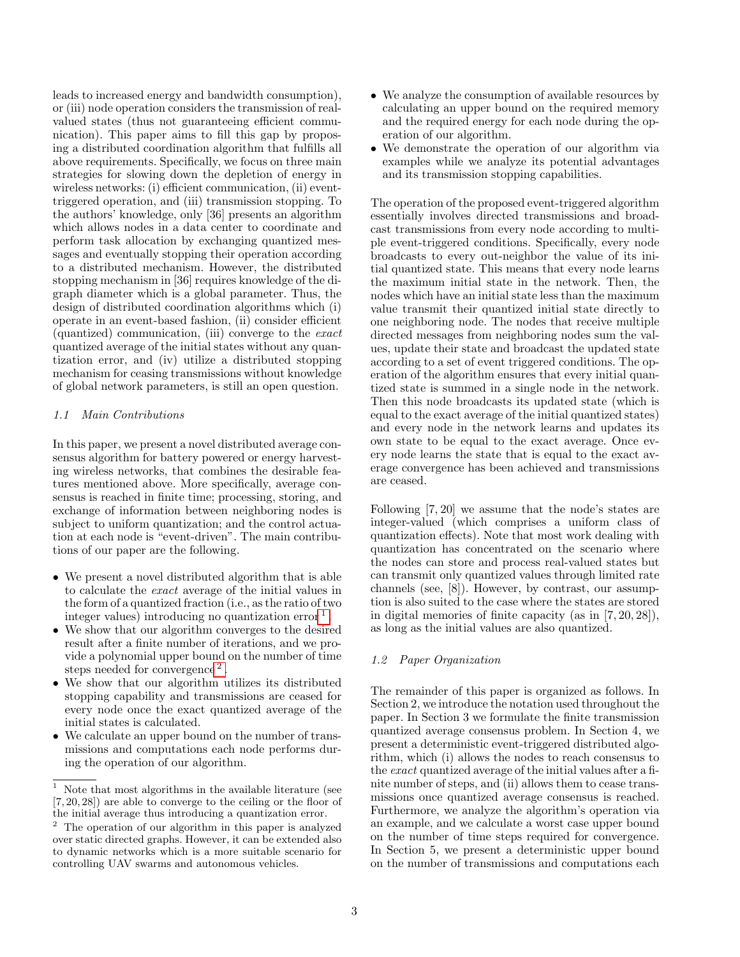leads to increased energy and bandwidth consumption), or (iii) node operation considers the transmission of realvalued states (thus not guaranteeing efficient communication). This paper aims to fill this gap by proposing a distributed coordination algorithm that fulfills all above requirements. Specifically, we focus on three main strategies for slowing down the depletion of energy in wireless networks: (i) efficient communication, (ii) eventtriggered operation, and (iii) transmission stopping. To the authors' knowledge, only [36] presents an algorithm which allows nodes in a data center to coordinate and perform task allocation by exchanging quantized messages and eventually stopping their operation according to a distributed mechanism. However, the distributed stopping mechanism in [36] requires knowledge of the digraph diameter which is a global parameter. Thus, the design of distributed coordination algorithms which (i) operate in an event-based fashion, (ii) consider efficient (quantized) communication, (iii) converge to the exact quantized average of the initial states without any quantization error, and (iv) utilize a distributed stopping mechanism for ceasing transmissions without knowledge of global network parameters, is still an open question.

## 1.1 Main Contributions

In this paper, we present a novel distributed average consensus algorithm for battery powered or energy harvesting wireless networks, that combines the desirable features mentioned above. More specifically, average consensus is reached in finite time; processing, storing, and exchange of information between neighboring nodes is subject to uniform quantization; and the control actuation at each node is "event-driven". The main contributions of our paper are the following.

- We present a novel distributed algorithm that is able to calculate the exact average of the initial values in the form of a quantized fraction (i.e., as the ratio of two integer values) introducing no quantization error  $<sup>1</sup>$  $<sup>1</sup>$  $<sup>1</sup>$ .</sup>
- We show that our algorithm converges to the desired result after a finite number of iterations, and we provide a polynomial upper bound on the number of time steps needed for convergence<sup>[2](#page-2-1)</sup>.
- We show that our algorithm utilizes its distributed stopping capability and transmissions are ceased for every node once the exact quantized average of the initial states is calculated.
- We calculate an upper bound on the number of transmissions and computations each node performs during the operation of our algorithm.
- We analyze the consumption of available resources by calculating an upper bound on the required memory and the required energy for each node during the operation of our algorithm.
- We demonstrate the operation of our algorithm via examples while we analyze its potential advantages and its transmission stopping capabilities.

The operation of the proposed event-triggered algorithm essentially involves directed transmissions and broadcast transmissions from every node according to multiple event-triggered conditions. Specifically, every node broadcasts to every out-neighbor the value of its initial quantized state. This means that every node learns the maximum initial state in the network. Then, the nodes which have an initial state less than the maximum value transmit their quantized initial state directly to one neighboring node. The nodes that receive multiple directed messages from neighboring nodes sum the values, update their state and broadcast the updated state according to a set of event triggered conditions. The operation of the algorithm ensures that every initial quantized state is summed in a single node in the network. Then this node broadcasts its updated state (which is equal to the exact average of the initial quantized states) and every node in the network learns and updates its own state to be equal to the exact average. Once every node learns the state that is equal to the exact average convergence has been achieved and transmissions are ceased.

Following [7, 20] we assume that the node's states are integer-valued (which comprises a uniform class of quantization effects). Note that most work dealing with quantization has concentrated on the scenario where the nodes can store and process real-valued states but can transmit only quantized values through limited rate channels (see, [8]). However, by contrast, our assumption is also suited to the case where the states are stored in digital memories of finite capacity (as in [7, 20, 28]), as long as the initial values are also quantized.

## 1.2 Paper Organization

The remainder of this paper is organized as follows. In Section 2, we introduce the notation used throughout the paper. In Section 3 we formulate the finite transmission quantized average consensus problem. In Section 4, we present a deterministic event-triggered distributed algorithm, which (i) allows the nodes to reach consensus to the exact quantized average of the initial values after a finite number of steps, and (ii) allows them to cease transmissions once quantized average consensus is reached. Furthermore, we analyze the algorithm's operation via an example, and we calculate a worst case upper bound on the number of time steps required for convergence. In Section 5, we present a deterministic upper bound on the number of transmissions and computations each

<span id="page-2-0"></span><sup>&</sup>lt;sup>1</sup> Note that most algorithms in the available literature (see [7, 20, 28]) are able to converge to the ceiling or the floor of the initial average thus introducing a quantization error.

<span id="page-2-1"></span><sup>2</sup> The operation of our algorithm in this paper is analyzed over static directed graphs. However, it can be extended also to dynamic networks which is a more suitable scenario for controlling UAV swarms and autonomous vehicles.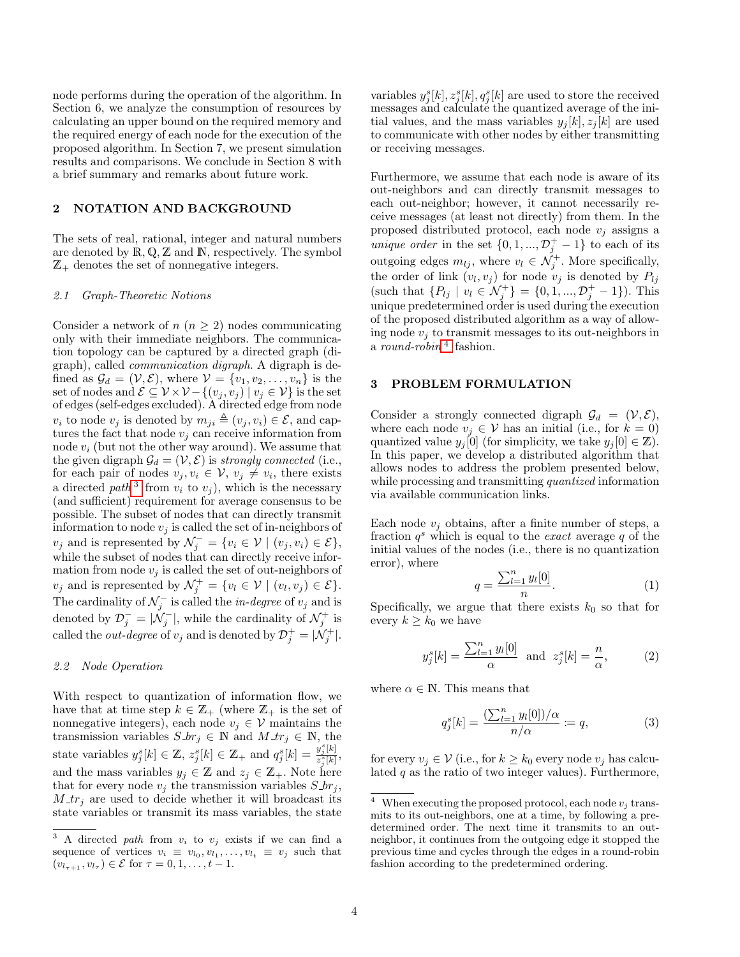node performs during the operation of the algorithm. In Section 6, we analyze the consumption of resources by calculating an upper bound on the required memory and the required energy of each node for the execution of the proposed algorithm. In Section 7, we present simulation results and comparisons. We conclude in Section 8 with a brief summary and remarks about future work.

#### 2 NOTATION AND BACKGROUND

The sets of real, rational, integer and natural numbers are denoted by  $R, Q, Z$  and  $N$ , respectively. The symbol  $\mathbb{Z}_+$  denotes the set of nonnegative integers.

#### 2.1 Graph-Theoretic Notions

Consider a network of  $n (n \geq 2)$  nodes communicating only with their immediate neighbors. The communication topology can be captured by a directed graph (digraph), called communication digraph. A digraph is defined as  $\mathcal{G}_d = (\mathcal{V}, \mathcal{E}),$  where  $\mathcal{V} = \{v_1, v_2, \ldots, v_n\}$  is the set of nodes and  $\mathcal{E} \subseteq \mathcal{V} \times \mathcal{V} - \{(v_j, v_j) | v_j \in \mathcal{V}\}\$ is the set of edges (self-edges excluded). A directed edge from node  $v_i$  to node  $v_j$  is denoted by  $m_{ji} \triangleq (v_j, v_i) \in \mathcal{E}$ , and captures the fact that node  $v_j$  can receive information from node  $v_i$  (but not the other way around). We assume that the given digraph  $\mathcal{G}_d = (\mathcal{V}, \mathcal{E})$  is strongly connected (i.e., for each pair of nodes  $v_j, v_i \in \mathcal{V}, v_j \neq v_i$ , there exists a directed path<sup>[3](#page-3-0)</sup> from  $v_i$  to  $v_j$ ), which is the necessary (and sufficient) requirement for average consensus to be possible. The subset of nodes that can directly transmit information to node  $v_j$  is called the set of in-neighbors of  $v_j$  and is represented by  $\mathcal{N}_j^- = \{v_i \in \mathcal{V} \mid (v_j, v_i) \in \mathcal{E}\},\$ while the subset of nodes that can directly receive information from node  $v_j$  is called the set of out-neighbors of  $v_j$  and is represented by  $\mathcal{N}_j^+ = \{v_l \in \mathcal{V} \mid (v_l, v_j) \in \mathcal{E}\}.$ The cardinality of  $\mathcal{N}_j^-$  is called the *in-degree* of  $v_j$  and is denoted by  $\mathcal{D}_{j}^{-} = |\mathcal{N}_{j}^{-}|$ , while the cardinality of  $\mathcal{N}_{j}^{+}$  is called the *out-degree* of  $v_j$  and is denoted by  $\mathcal{D}_j^+ = |\mathcal{N}_j^+|$ .

#### 2.2 Node Operation

With respect to quantization of information flow, we have that at time step  $k \in \mathbb{Z}_+$  (where  $\mathbb{Z}_+$  is the set of nonnegative integers), each node  $v_j \in V$  maintains the transmission variables  $S_{\cdot} br_j \in \mathbb{N}$  and  $M_{\cdot} tr_j \in \mathbb{N}$ , the state variables  $y_j^s[k] \in \mathbb{Z}, z_j^s[k] \in \mathbb{Z}_+$  and  $q_j^s[k] = \frac{y_j^s[k]}{z^s[k]}$  $\frac{g_j[\kappa]}{z_j^s[k]},$ and the mass variables  $y_j \in \mathbb{Z}$  and  $z_j \in \mathbb{Z}_+$  . Note here that for every node  $v_i$  the transmission variables  $S_{-}br_i$ ,  $M_{\perp}$  are used to decide whether it will broadcast its state variables or transmit its mass variables, the state

variables  $y_j^s[k], z_j^s[k], q_j^s[k]$  are used to store the received messages and calculate the quantized average of the initial values, and the mass variables  $y_i[k], z_i[k]$  are used to communicate with other nodes by either transmitting or receiving messages.

Furthermore, we assume that each node is aware of its out-neighbors and can directly transmit messages to each out-neighbor; however, it cannot necessarily receive messages (at least not directly) from them. In the proposed distributed protocol, each node  $v_j$  assigns a *unique order* in the set  $\{0, 1, ..., \mathcal{D}_j^+ - 1\}$  to each of its outgoing edges  $m_{lj}$ , where  $v_l \in \mathcal{N}_j^+$ . More specifically, the order of link  $(v_l, v_j)$  for node  $v_j$  is denoted by  $P_{lj}$ (such that  $\{P_{lj} \mid v_l \in \mathcal{N}_j^+\} = \{0, 1, ..., \mathcal{D}_j^+ - 1\}$ ). This unique predetermined order is used during the execution of the proposed distributed algorithm as a way of allowing node  $v_j$  to transmit messages to its out-neighbors in a *round-robin*<sup>[4](#page-3-1)</sup> fashion.

#### 3 PROBLEM FORMULATION

Consider a strongly connected digraph  $\mathcal{G}_d = (\mathcal{V}, \mathcal{E}),$ where each node  $v_j \in V$  has an initial (i.e., for  $k = 0$ ) quantized value  $y_j[0]$  (for simplicity, we take  $y_j[0] \in \mathbb{Z}$ ). In this paper, we develop a distributed algorithm that allows nodes to address the problem presented below, while processing and transmitting *quantized* information via available communication links.

Each node  $v_j$  obtains, after a finite number of steps, a fraction  $q^s$  which is equal to the *exact* average q of the initial values of the nodes (i.e., there is no quantization error), where

$$
q = \frac{\sum_{l=1}^{n} y_l[0]}{n}.
$$
 (1)

Specifically, we argue that there exists  $k_0$  so that for every  $k \geq k_0$  we have

$$
y_j^s[k] = \frac{\sum_{l=1}^n y_l[0]}{\alpha} \text{ and } z_j^s[k] = \frac{n}{\alpha},\tag{2}
$$

where  $\alpha \in \mathbb{N}$ . This means that

$$
q_j^s[k] = \frac{\left(\sum_{l=1}^n y_l[0]\right)/\alpha}{n/\alpha} := q,\tag{3}
$$

for every  $v_j \in \mathcal{V}$  (i.e., for  $k \geq k_0$  every node  $v_j$  has calculated  $q$  as the ratio of two integer values). Furthermore,

<span id="page-3-0"></span><sup>&</sup>lt;sup>3</sup> A directed path from  $v_i$  to  $v_j$  exists if we can find a sequence of vertices  $v_i \equiv v_{l_0}, v_{l_1}, \ldots, v_{l_t} \equiv v_j$  such that  $(v_{l_{\tau+1}}, v_{l_{\tau}}) \in \mathcal{E}$  for  $\tau = 0, 1, \ldots, t-1$ .

<span id="page-3-1"></span> $^4\;$  When executing the proposed protocol, each node  $v_j$  transmits to its out-neighbors, one at a time, by following a predetermined order. The next time it transmits to an outneighbor, it continues from the outgoing edge it stopped the previous time and cycles through the edges in a round-robin fashion according to the predetermined ordering.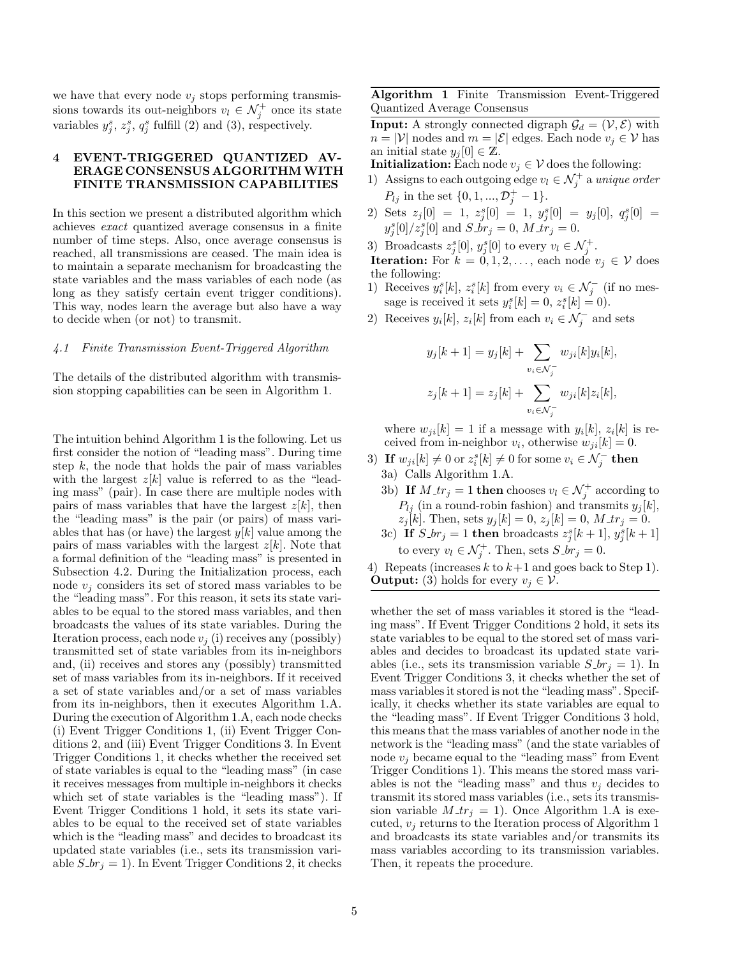we have that every node  $v_j$  stops performing transmissions towards its out-neighbors  $v_l \in \mathcal{N}_j^+$  once its state variables  $y_j^s$ ,  $z_j^s$ ,  $q_j^s$  fulfill (2) and (3), respectively.

## 4 EVENT-TRIGGERED QUANTIZED AV-ERAGE CONSENSUS ALGORITHMWITH FINITE TRANSMISSION CAPABILITIES

In this section we present a distributed algorithm which achieves exact quantized average consensus in a finite number of time steps. Also, once average consensus is reached, all transmissions are ceased. The main idea is to maintain a separate mechanism for broadcasting the state variables and the mass variables of each node (as long as they satisfy certain event trigger conditions). This way, nodes learn the average but also have a way to decide when (or not) to transmit.

## 4.1 Finite Transmission Event-Triggered Algorithm

The details of the distributed algorithm with transmission stopping capabilities can be seen in Algorithm 1.

The intuition behind Algorithm 1 is the following. Let us first consider the notion of "leading mass". During time step  $k$ , the node that holds the pair of mass variables with the largest  $z[k]$  value is referred to as the "leading mass" (pair). In case there are multiple nodes with pairs of mass variables that have the largest  $z[k]$ , then the "leading mass" is the pair (or pairs) of mass variables that has (or have) the largest  $y[k]$  value among the pairs of mass variables with the largest  $z[k]$ . Note that a formal definition of the "leading mass" is presented in Subsection 4.2. During the Initialization process, each node  $v_i$  considers its set of stored mass variables to be the "leading mass". For this reason, it sets its state variables to be equal to the stored mass variables, and then broadcasts the values of its state variables. During the Iteration process, each node  $v_i$  (i) receives any (possibly) transmitted set of state variables from its in-neighbors and, (ii) receives and stores any (possibly) transmitted set of mass variables from its in-neighbors. If it received a set of state variables and/or a set of mass variables from its in-neighbors, then it executes Algorithm 1.A. During the execution of Algorithm 1.A, each node checks (i) Event Trigger Conditions 1, (ii) Event Trigger Conditions 2, and (iii) Event Trigger Conditions 3. In Event Trigger Conditions 1, it checks whether the received set of state variables is equal to the "leading mass" (in case it receives messages from multiple in-neighbors it checks which set of state variables is the "leading mass"). If Event Trigger Conditions 1 hold, it sets its state variables to be equal to the received set of state variables which is the "leading mass" and decides to broadcast its updated state variables (i.e., sets its transmission variable  $S_b r_j = 1$ . In Event Trigger Conditions 2, it checks Algorithm 1 Finite Transmission Event-Triggered Quantized Average Consensus

**Input:** A strongly connected digraph  $\mathcal{G}_d = (\mathcal{V}, \mathcal{E})$  with  $n = |\mathcal{V}|$  nodes and  $m = |\mathcal{E}|$  edges. Each node  $v_j \in \mathcal{V}$  has an initial state  $y_j[0] \in \mathbb{Z}$ .

**Initialization:** Each node  $v_j \in V$  does the following:

- 1) Assigns to each outgoing edge  $v_l \in \mathcal{N}_j^+$  a unique order  $P_{lj}$  in the set  $\{0, 1, ..., \mathcal{D}_j^+ - 1\}.$
- 2) Sets  $z_j[0] = 1$ ,  $z_j^s[0] = 1$ ,  $y_j^s[0] = y_j[0]$ ,  $q_j^s[0] =$  $y_j^s[0]/z_j^s[0]$  and  $S \r{f}$   $\r{f}$   $\r{f}$   $\r{f}$   $\r{f}$   $\r{f}$   $\r{f}$   $\r{f}$   $\r{f}$   $\r{f}$   $\r{f}$   $\r{f}$
- 3) Broadcasts  $z_j^s[0], y_j^s[0]$  to every  $v_l \in \mathcal{N}_j^+$ .

**Iteration:** For  $k = 0, 1, 2, \ldots$ , each node  $v_i \in V$  does the following:

- 1) Receives  $y_i^s[k], z_i^s[k]$  from every  $v_i \in \mathcal{N}_j^-$  (if no message is received it sets  $y_i^s[k] = 0, z_i^s[k] = 0$ .
- 2) Receives  $y_i[k], z_i[k]$  from each  $v_i \in \mathcal{N}_j^-$  and sets

$$
y_j[k+1] = y_j[k] + \sum_{v_i \in \mathcal{N}_j^-} w_{ji}[k]y_i[k],
$$
  

$$
z_j[k+1] = z_j[k] + \sum_{v_i \in \mathcal{N}_j^-} w_{ji}[k]z_i[k],
$$

where  $w_{ji}[k] = 1$  if a message with  $y_i[k], z_i[k]$  is received from in-neighbor  $v_i$ , otherwise  $w_{ji}[k] = 0$ .

- 3) If  $w_{ji}[k] \neq 0$  or  $z_i^s[k] \neq 0$  for some  $v_i \in \mathcal{N}_j^-$  then 3a) Calls Algorithm 1.A.
	- 3b) If  $M_{\perp}$   $tr_j = 1$  then chooses  $v_l \in \mathcal{N}_j^+$  according to  $P_{lj}$  (in a round-robin fashion) and transmits  $y_j[k]$ ,  $z_j[k]$ . Then, sets  $y_j[k] = 0$ ,  $z_j[k] = 0$ ,  $M$ \_tr<sub>j</sub> = 0.
	- 3c) If  $S_-br_j = 1$  then broadcasts  $z_j^s[k+1], y_j^s[k+1]$ to every  $v_l \in \mathcal{N}_j^+$ . Then, sets  $S \text{-} b r_j = 0$ .
- 4) Repeats (increases k to  $k+1$  and goes back to Step 1). **Output:** (3) holds for every  $v_i \in \mathcal{V}$ .

whether the set of mass variables it stored is the "leading mass". If Event Trigger Conditions 2 hold, it sets its state variables to be equal to the stored set of mass variables and decides to broadcast its updated state variables (i.e., sets its transmission variable  $S_{\perp}$  br<sub>j</sub> = 1). In Event Trigger Conditions 3, it checks whether the set of mass variables it stored is not the "leading mass". Specifically, it checks whether its state variables are equal to the "leading mass". If Event Trigger Conditions 3 hold, this means that the mass variables of another node in the network is the "leading mass" (and the state variables of node  $v_i$  became equal to the "leading mass" from Event Trigger Conditions 1). This means the stored mass variables is not the "leading mass" and thus  $v_i$  decides to transmit its stored mass variables (i.e., sets its transmission variable  $M_{\perp}$   $tr_j = 1$ ). Once Algorithm 1.A is executed,  $v_j$  returns to the Iteration process of Algorithm 1 and broadcasts its state variables and/or transmits its mass variables according to its transmission variables. Then, it repeats the procedure.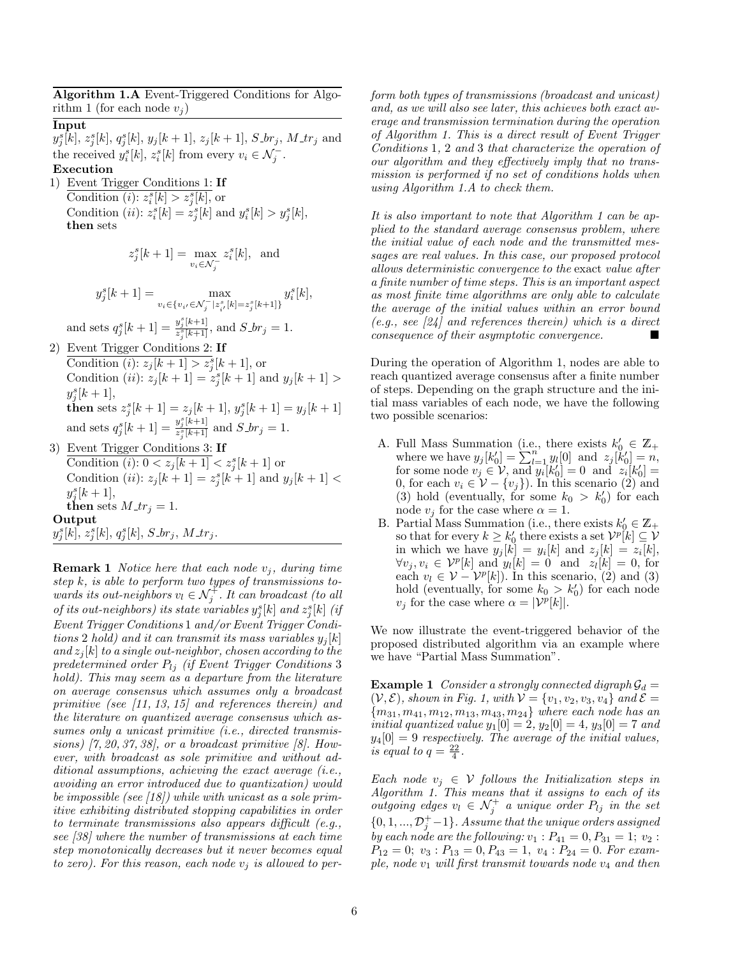Algorithm 1.A Event-Triggered Conditions for Algorithm 1 (for each node  $v_i$ ) Input  $y_j^s[k], z_j^s[k], q_j^s[k], y_j[k+1], z_j[k+1], S_b, M_t, M_t$  and the received  $y_i^s[k], z_i^s[k]$  from every  $v_i \in \mathcal{N}_j^-$ . Execution 1) Event Trigger Conditions 1: If Condition (*i*):  $z_i^s[k] > z_j^s[k]$ , or Condition (*ii*):  $z_i^s[k] = z_j^s[k]$  and  $y_i^s[k] > y_j^s[k]$ , then sets  $z_j^s[k+1] = \max_{v_i \in \mathcal{N}_j^-}$  $z_i^s[k]$ , and  $y_j^s[k+1] = \max_{k=1}^{\infty}$  $\max_{v_i \in \{v_{i'} \in \mathcal{N}_j^- \mid z_{i'}^s[k] = z_j^s[k+1]\}} y_i^s[k],$ and sets  $q_j^s[k+1] = \frac{y_j^s[k+1]}{z^s[k+1]}$  $\frac{g_j(k+1)}{z_j^s(k+1)}$ , and  $S_br_j = 1$ . 2) Event Trigger Conditions 2: If Condition (*i*):  $z_j[k+1] > z_j^s[k+1]$ , or Condition (*ii*):  $z_j[k+1] = z_j^{s}[k+1]$  and  $y_j[k+1] >$  $y_j^s[k+1],$ **then** sets  $z_j^s[k+1] = z_j[k+1], y_j^s[k+1] = y_j[k+1]$ and sets  $q_j^s[k+1] = \frac{y_j^s[k+1]}{z_j^s[k+1]}$  $\frac{g_j(k+1)}{z_j^s(k+1)}$  and  $S_{-}br_j = 1$ . 3) Event Trigger Conditions 3: If Condition  $(i)$ :  $0 < z_j[k+1] < z_j^s[k+1]$  or Condition *(ii)*:  $z_j[k+1] = z_j^s[k+1]$  and  $y_j[k+1]$  <  $y_j^s[k+1],$ then sets  $M_{\perp}$  tr<sub>j</sub> = 1.

Output

 $y_j^s[k], z_j^s[k], q_j^s[k], S_{\mathcal{D}}r_j, M_{\mathcal{A}}r_j.$ 

**Remark 1** Notice here that each node  $v_j$ , during time step k, is able to perform two types of transmissions towards its out-neighbors  $v_l \in \mathcal{N}_j^+$ . It can broadcast (to all of its out-neighbors) its state variables  $y_j^s[k]$  and  $z_j^s[k]$  (if Event Trigger Conditions 1 and/or Event Trigger Conditions 2 hold) and it can transmit its mass variables  $y_i[k]$ and  $z_j[k]$  to a single out-neighbor, chosen according to the predetermined order  $P_{1i}$  (if Event Trigger Conditions 3 hold). This may seem as a departure from the literature on average consensus which assumes only a broadcast primitive (see  $\left[11, 13, 15\right]$  and references therein) and the literature on quantized average consensus which assumes only a unicast primitive (i.e., directed transmissions)  $[7, 20, 37, 38]$ , or a broadcast primitive  $[8]$ . However, with broadcast as sole primitive and without additional assumptions, achieving the exact average (i.e., avoiding an error introduced due to quantization) would be impossible (see [18]) while with unicast as a sole primitive exhibiting distributed stopping capabilities in order to terminate transmissions also appears difficult (e.g., see [38] where the number of transmissions at each time step monotonically decreases but it never becomes equal to zero). For this reason, each node  $v_i$  is allowed to perform both types of transmissions (broadcast and unicast) and, as we will also see later, this achieves both exact average and transmission termination during the operation of Algorithm 1. This is a direct result of Event Trigger Conditions 1, 2 and 3 that characterize the operation of our algorithm and they effectively imply that no transmission is performed if no set of conditions holds when using Algorithm 1.A to check them.

It is also important to note that Algorithm 1 can be applied to the standard average consensus problem, where the initial value of each node and the transmitted messages are real values. In this case, our proposed protocol allows deterministic convergence to the exact value after a finite number of time steps. This is an important aspect as most finite time algorithms are only able to calculate the average of the initial values within an error bound  $(e.g., see 24)$  and references therein) which is a direct consequence of their asymptotic convergence.

During the operation of Algorithm 1, nodes are able to reach quantized average consensus after a finite number of steps. Depending on the graph structure and the initial mass variables of each node, we have the following two possible scenarios:

- A. Full Mass Summation (i.e., there exists  $k'_0 \in \mathbb{Z}_+$ where we have  $y_j[k'_0] = \sum_{l=1}^n y_l[0]$  and  $z_j[k'_0] = n$ , for some node  $v_j \in V$ , and  $y_i[k'_0] = 0$  and  $z_i[k'_0] =$ 0, for each  $v_i \in \mathcal{V} - \{v_j\}$ . In this scenario (2) and (3) hold (eventually, for some  $k_0 > k'_0$ ) for each node  $v_j$  for the case where  $\alpha = 1$ .
- B. Partial Mass Summation (i.e., there exists  $k'_0 \in \mathbb{Z}_+$ so that for every  $k \geq k'_0$  there exists a set  $\mathcal{V}^p[k] \subseteq \mathcal{V}$ in which we have  $y_j[k] = y_i[k]$  and  $z_j[k] = z_i[k]$ ,  $\forall v_j, v_i \in \mathcal{V}^p[k]$  and  $y_l[k] = 0$  and  $z_l[k] = 0$ , for each  $v_l \in \mathcal{V} - \mathcal{V}^p[k]$ ). In this scenario, (2) and (3) hold (eventually, for some  $k_0 > k'_0$ ) for each node  $v_j$  for the case where  $\alpha = |\mathcal{V}^p[k]|$ .

We now illustrate the event-triggered behavior of the proposed distributed algorithm via an example where we have "Partial Mass Summation".

**Example 1** Consider a strongly connected digraph  $\mathcal{G}_d$  =  $(V, \mathcal{E})$ , shown in Fig. 1, with  $V = \{v_1, v_2, v_3, v_4\}$  and  $\mathcal{E} =$  ${m_{31}, m_{41}, m_{12}, m_{13}, m_{43}, m_{24}}$  where each node has an initial quantized value  $y_1[0] = 2$ ,  $y_2[0] = 4$ ,  $y_3[0] = 7$  and  $y_4[0] = 9$  respectively. The average of the initial values, is equal to  $q = \frac{22}{4}$ .

Each node  $v_j \in V$  follows the Initialization steps in Algorithm 1. This means that it assigns to each of its outgoing edges  $v_l \in \mathcal{N}_j^+$  a unique order  $P_{lj}$  in the set  $\{0, 1, ..., \mathcal{D}_{j}^{+}-1\}$ . Assume that the unique orders assigned by each node are the following:  $v_1$ :  $P_{41} = 0, P_{31} = 1; v_2$ :  $P_{12} = 0$ ;  $v_3$ :  $P_{13} = 0$ ,  $P_{43} = 1$ ,  $v_4$ :  $P_{24} = 0$ . For example, node  $v_1$  will first transmit towards node  $v_4$  and then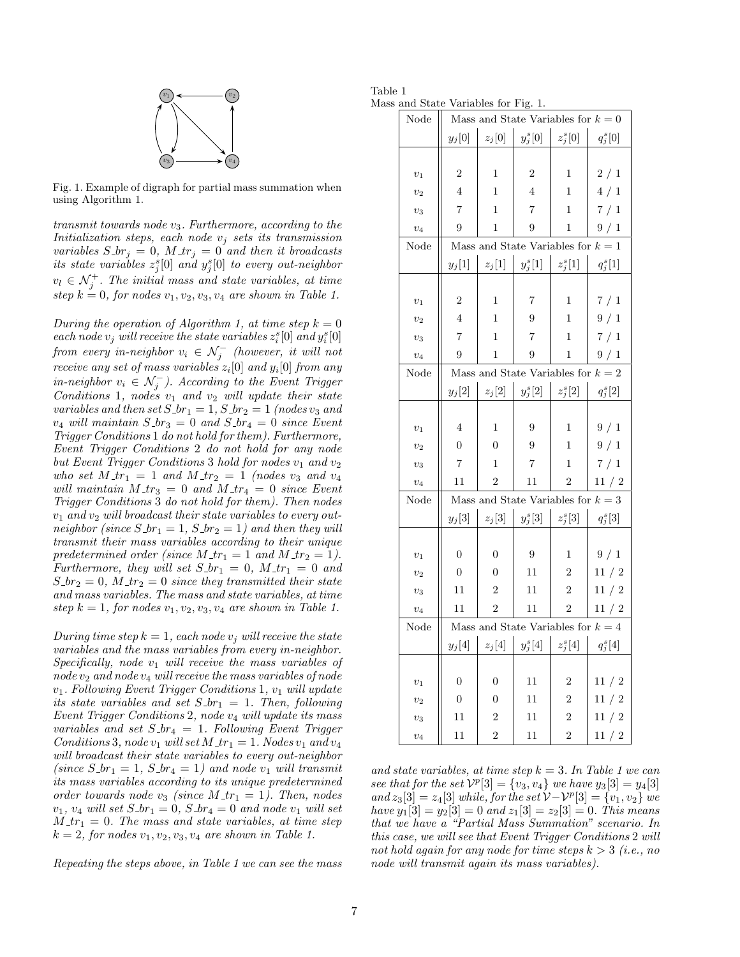

Fig. 1. Example of digraph for partial mass summation when using Algorithm 1.

transmit towards node  $v_3$ . Furthermore, according to the Initialization steps, each node  $v_j$  sets its transmission variables  $S_{\neg} br_i = 0$ ,  $M_{\neg} tr_i = 0$  and then it broadcasts its state variables  $z_j^s[0]$  and  $y_j^s[0]$  to every out-neighbor  $v_l \in \mathcal{N}_j^+$ . The initial mass and state variables, at time step  $k = 0$ , for nodes  $v_1, v_2, v_3, v_4$  are shown in Table 1.

During the operation of Algorithm 1, at time step  $k = 0$ each node  $v_j$  will receive the state variables  $z_i^s[0]$  and  $y_i^s[0]$ from every in-neighbor  $v_i \in \mathcal{N}_j^-$  (however, it will not receive any set of mass variables  $z_i[0]$  and  $y_i[0]$  from any in-neighbor  $v_i \in \mathcal{N}_j^-$ ). According to the Event Trigger Conditions 1, nodes  $v_1$  and  $v_2$  will update their state variables and then set  $S_1$  br<sub>1</sub> = 1,  $S_2$  br<sub>2</sub> = 1 (nodes v<sub>3</sub> and  $v_4$  will maintain  $S_1$  br<sub>3</sub> = 0 and  $S_1$  br<sub>4</sub> = 0 since Event Trigger Conditions 1 do not hold for them). Furthermore, Event Trigger Conditions 2 do not hold for any node but Event Trigger Conditions 3 hold for nodes  $v_1$  and  $v_2$ who set  $M_{\perp}$   $tr_1$  = 1 and  $M_{\perp}$   $tr_2$  = 1 (nodes  $v_3$  and  $v_4$ will maintain  $M_{\perp}$   $tr_3 = 0$  and  $M_{\perp}$   $tr_4 = 0$  since Event Trigger Conditions 3 do not hold for them). Then nodes  $v_1$  and  $v_2$  will broadcast their state variables to every outneighbor (since  $S_{-}br_1 = 1$ ,  $S_{-}br_2 = 1$ ) and then they will transmit their mass variables according to their unique predetermined order (since  $M \, \text{tr}_1 = 1$  and  $M \, \text{tr}_2 = 1$ ). Furthermore, they will set  $S_b r_1 = 0$ ,  $M_a r_1 = 0$  and  $S_b r_2 = 0$ ,  $M_a r_2 = 0$  since they transmitted their state and mass variables. The mass and state variables, at time step  $k = 1$ , for nodes  $v_1, v_2, v_3, v_4$  are shown in Table 1.

During time step  $k = 1$ , each node  $v_i$  will receive the state variables and the mass variables from every in-neighbor. Specifically, node  $v_1$  will receive the mass variables of  $node\, v_2$  and node  $v_4$  will receive the mass variables of node  $v_1$ . Following Event Trigger Conditions 1,  $v_1$  will update its state variables and set  $S b r_1 = 1$ . Then, following Event Trigger Conditions 2, node  $v_4$  will update its mass variables and set  $S_1br_4 = 1$ . Following Event Trigger Conditions 3, node  $v_1$  will set  $M$   $\pm r_1 = 1$ . Nodes  $v_1$  and  $v_4$ will broadcast their state variables to every out-neighbor (since  $S_1$ -br<sub>1</sub> = 1,  $S_1$ -br<sub>4</sub> = 1) and node  $v_1$  will transmit its mass variables according to its unique predetermined order towards node  $v_3$  (since  $M_{\perp}$   $tr_1 = 1$ ). Then, nodes  $v_1, v_4$  will set  $S_-br_1 = 0$ ,  $S_-br_4 = 0$  and node  $v_1$  will set  $M_{\perp}$  = 0. The mass and state variables, at time step  $k = 2$ , for nodes  $v_1, v_2, v_3, v_4$  are shown in Table 1.

Repeating the steps above, in Table 1 we can see the mass

| Table 1                              |  |  |  |
|--------------------------------------|--|--|--|
| Mass and State Variables for Fig. 1. |  |  |  |

| Node               | Mass and State Variables for $k = 0$ |                  |                                      |                |            |  |
|--------------------|--------------------------------------|------------------|--------------------------------------|----------------|------------|--|
|                    | $y_j[0]$                             | $z_j[0]$         | $y_j^s[0]$                           | $z_j^s[0]$     | $q_j^s[0]$ |  |
|                    |                                      |                  |                                      |                |            |  |
| $\boldsymbol{v}_1$ | $\overline{2}$                       | 1                | $\overline{2}$                       | 1              | 2/1        |  |
| $\upsilon_2$       | $\,4\,$                              | 1                | $\overline{4}$                       | 1              | 4/1        |  |
| $v_3$              | $\overline{7}$                       | 1                | 7                                    | 1              | 7/1        |  |
| $v_4$              | 9                                    | 1                | 9                                    | 1              | 9/1        |  |
| Node               | Mass and State Variables for $k = 1$ |                  |                                      |                |            |  |
|                    | $y_j[1]$                             | $z_j[1]$         | $y_j^s[1]$                           | $z_j^s[1]$     | $q_j^s[1]$ |  |
|                    |                                      |                  |                                      |                |            |  |
| $\boldsymbol{v}_1$ | $\boldsymbol{2}$                     | 1                | 7                                    | 1              | 7/1        |  |
| $v_2$              | $\overline{4}$                       | 1                | 9                                    | 1              | 9/1        |  |
| $v_3$              | $\overline{7}$                       | 1                | 7                                    | 1              | 7/1        |  |
| $v_4$              | 9                                    | 1                | 9                                    | 1              | 9/1        |  |
| Node               |                                      |                  | Mass and State Variables for $k = 2$ |                |            |  |
|                    | $y_j[2]$                             | $z_j[2]$         | $y_j^s[2]$                           | $z_j^s[2]$     | $q_j^s[2]$ |  |
|                    |                                      |                  |                                      |                |            |  |
| $\boldsymbol{v}_1$ | $\overline{4}$                       | $\mathbf 1$      | 9                                    | $\mathbf 1$    | 9/1        |  |
| $v_2$              | $\boldsymbol{0}$                     | $\overline{0}$   | 9                                    | 1              | 9/1        |  |
| $v_3$              | $\scriptstyle{7}$                    | 1                | 7                                    | 1              | 7/1        |  |
| $v_4$              | 11                                   | $\overline{2}$   | 11                                   | $\overline{2}$ | 11 / 2     |  |
| Node               |                                      |                  | Mass and State Variables for $k=3$   |                |            |  |
|                    | $y_j[3]$                             | $z_j[3]$         | $y_j^s[3]$                           | $z_j^s[3]$     | $q_j^s[3]$ |  |
|                    |                                      |                  |                                      |                |            |  |
| $\boldsymbol{v}_1$ | $\overline{0}$                       | $\boldsymbol{0}$ | $\boldsymbol{9}$                     | 1              | 9/1        |  |
| $v_2$              | $\boldsymbol{0}$                     | 0                | 11                                   | $\overline{c}$ | 11 / 2     |  |
| $v_3$              | 11                                   | $\sqrt{2}$       | 11                                   | $\overline{2}$ | 11 / 2     |  |
| $v_4$              | 11                                   | 2                | 11                                   | 2              | 11/2       |  |
| Node               | Mass and State Variables for $k=4$   |                  |                                      |                |            |  |
|                    | $y_j[4]$                             | $z_j[4]$         | $y_j^s[4]$ $z_j^s[4]$                |                | $q_j^s[4]$ |  |
|                    |                                      |                  |                                      |                |            |  |
| $v_1$              | $\boldsymbol{0}$                     | $\boldsymbol{0}$ | 11                                   | $\overline{2}$ | 11 / 2     |  |
| $\upsilon_2$       | $\boldsymbol{0}$                     | $\boldsymbol{0}$ | 11                                   | $\overline{2}$ | $11$ / $2$ |  |
| $\upsilon_3$       | 11                                   | $\boldsymbol{2}$ | 11                                   | $\overline{2}$ | 11 / 2     |  |
| $\upsilon_4$       | 11                                   | $\overline{2}$   | $11\,$                               | $\overline{2}$ | 11 / 2     |  |

and state variables, at time step  $k = 3$ . In Table 1 we can see that for the set  $V^p[3] = \{v_3, v_4\}$  we have  $y_3[3] = y_4[3]$ and  $z_3[3] = z_4[3]$  while, for the set  $\mathcal{V} - \mathcal{V}^p[3] = \{v_1, v_2\}$  we have  $y_1[3] = y_2[3] = 0$  and  $z_1[3] = z_2[3] = 0$ . This means that we have a "Partial Mass Summation" scenario. In this case, we will see that Event Trigger Conditions 2 will not hold again for any node for time steps  $k > 3$  (i.e., no node will transmit again its mass variables).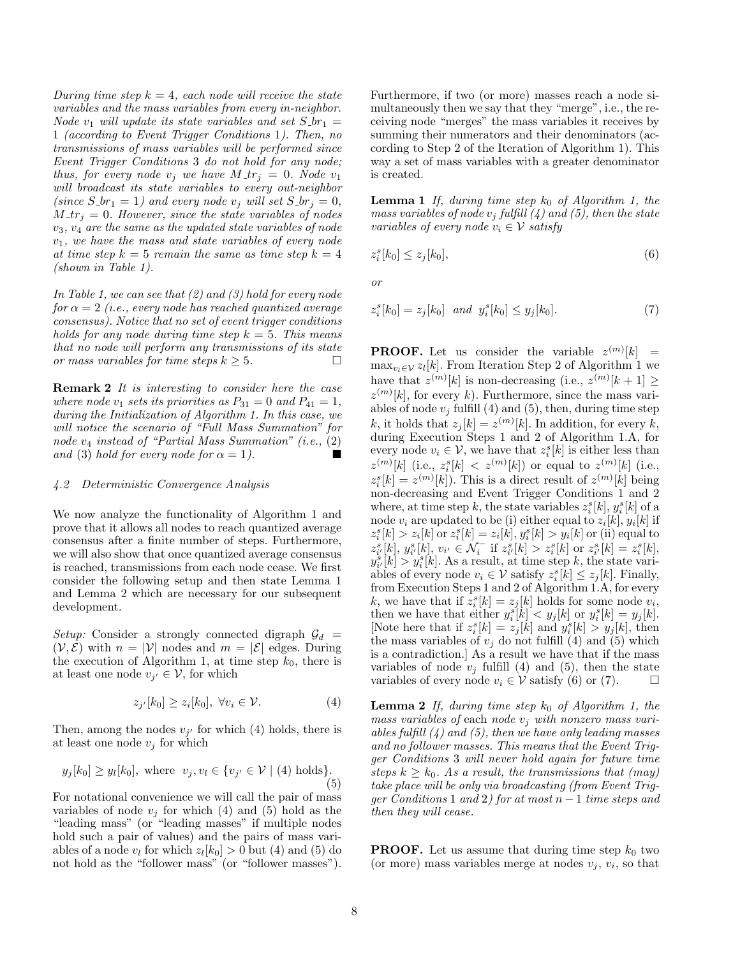During time step  $k = 4$ , each node will receive the state variables and the mass variables from every in-neighbor. Node  $v_1$  will update its state variables and set  $S_1 =$ 1 (according to Event Trigger Conditions 1). Then, no transmissions of mass variables will be performed since Event Trigger Conditions 3 do not hold for any node; thus, for every node  $v_i$  we have  $M_{\tau}$  = 0. Node  $v_1$ will broadcast its state variables to every out-neighbor (since  $S_-br_1 = 1$ ) and every node  $v_j$  will set  $S_-br_j = 0$ ,  $M_{\tau}$  = 0. However, since the state variables of nodes  $v_3, v_4$  are the same as the updated state variables of node  $v_1$ , we have the mass and state variables of every node at time step  $k = 5$  remain the same as time step  $k = 4$ (shown in Table 1).

In Table 1, we can see that  $(2)$  and  $(3)$  hold for every node for  $\alpha = 2$  (i.e., every node has reached quantized average consensus). Notice that no set of event trigger conditions holds for any node during time step  $k = 5$ . This means that no node will perform any transmissions of its state or mass variables for time steps  $k \geq 5$ .

**Remark 2** It is interesting to consider here the case where node  $v_1$  sets its priorities as  $P_{31} = 0$  and  $P_{41} = 1$ , during the Initialization of Algorithm 1. In this case, we will notice the scenario of "Full Mass Summation" for node  $v_4$  instead of "Partial Mass Summation" (i.e.,  $(2)$ ) and (3) hold for every node for  $\alpha = 1$ ).

#### 4.2 Deterministic Convergence Analysis

We now analyze the functionality of Algorithm 1 and prove that it allows all nodes to reach quantized average consensus after a finite number of steps. Furthermore, we will also show that once quantized average consensus is reached, transmissions from each node cease. We first consider the following setup and then state Lemma 1 and Lemma 2 which are necessary for our subsequent development.

Setup: Consider a strongly connected digraph  $\mathcal{G}_d$  =  $(V, \mathcal{E})$  with  $n = |V|$  nodes and  $m = |\mathcal{E}|$  edges. During the execution of Algorithm 1, at time step  $k_0$ , there is at least one node  $v_{j'} \in \mathcal{V}$ , for which

$$
z_{j'}[k_0] \ge z_i[k_0], \ \forall v_i \in \mathcal{V}.\tag{4}
$$

Then, among the nodes  $v_{j'}$  for which (4) holds, there is at least one node  $v_j$  for which

$$
y_j[k_0] \ge y_l[k_0], \text{ where } v_j, v_l \in \{v_{j'} \in \mathcal{V} \mid (4) \text{ holds}\}. \tag{5}
$$

For notational convenience we will call the pair of mass variables of node  $v_j$  for which (4) and (5) hold as the "leading mass" (or "leading masses" if multiple nodes hold such a pair of values) and the pairs of mass variables of a node  $v_l$  for which  $z_l[k_0] > 0$  but (4) and (5) do not hold as the "follower mass" (or "follower masses"). Furthermore, if two (or more) masses reach a node simultaneously then we say that they "merge", i.e., the receiving node "merges" the mass variables it receives by summing their numerators and their denominators (according to Step 2 of the Iteration of Algorithm 1). This way a set of mass variables with a greater denominator is created.

**Lemma 1** If, during time step  $k_0$  of Algorithm 1, the mass variables of node  $v_j$  fulfill (4) and (5), then the state variables of every node  $v_i \in V$  satisfy

$$
z_i^s[k_0] \le z_j[k_0],\tag{6}
$$

or

$$
z_i^s[k_0] = z_j[k_0] \text{ and } y_i^s[k_0] \le y_j[k_0]. \tag{7}
$$

**PROOF.** Let us consider the variable  $z^{(m)}[k]$  =  $\max_{v_l \in \mathcal{V}} z_l[k]$ . From Iteration Step 2 of Algorithm 1 we have that  $z^{(m)}[k]$  is non-decreasing (i.e.,  $z^{(m)}[k+1] \geq$  $z^{(m)}[k]$ , for every k). Furthermore, since the mass variables of node  $v_j$  fulfill (4) and (5), then, during time step k, it holds that  $z_j[k] = z^{(m)}[k]$ . In addition, for every k, during Execution Steps 1 and 2 of Algorithm 1.A, for every node  $v_i \in V$ , we have that  $z_i^s[k]$  is either less than  $z^{(m)}[k]$  (i.e.,  $z_i^s[k] < z^{(m)}[k]$ ) or equal to  $z^{(m)}[k]$  (i.e.,  $z_i^s[k] = z^{(m)}[k]$ . This is a direct result of  $z^{(m)}[k]$  being non-decreasing and Event Trigger Conditions 1 and 2 where, at time step k, the state variables  $z_i^s[k], y_i^s[k]$  of a node  $v_i$  are updated to be (i) either equal to  $z_i[k], y_i[k]$  if  $z_i^s[k] > z_i[k]$  or  $z_i^s[k] = z_i[k], y_i^s[k] > y_i[k]$  or (ii) equal to  $z_{i'}^s[k], y_{i'}^s[k], v_{i'} \in \mathcal{N}_i^-$  if  $z_{i'}^s[k] > z_i^s[k]$  or  $z_{i'}^s[k] = z_i^s[k]$ ,  $y_{i'}^s[k] > y_i^s[k]$ . As a result, at time step k, the state variables of every node  $v_i \in \mathcal{V}$  satisfy  $z_i^s[k] \leq z_j[k]$ . Finally, from Execution Steps 1 and 2 of Algorithm 1.A, for every k, we have that if  $z_i^s[k] = z_j[k]$  holds for some node  $v_i$ , then we have that either  $y_i^s[k] < y_j[k]$  or  $y_i^s[k] = y_j[k]$ . [Note here that if  $z_i^s[k] = z_j[k]$  and  $y_i^s[k] > y_j[k]$ , then the mass variables of  $v_j$  do not fulfill (4) and (5) which is a contradiction.] As a result we have that if the mass variables of node  $v_i$  fulfill (4) and (5), then the state variables of every node  $v_i \in V$  satisfy (6) or (7).

**Lemma 2** If, during time step  $k_0$  of Algorithm 1, the mass variables of each node  $v_i$  with nonzero mass variables fulfill  $(4)$  and  $(5)$ , then we have only leading masses and no follower masses. This means that the Event Trigger Conditions 3 will never hold again for future time steps  $k \geq k_0$ . As a result, the transmissions that (may) take place will be only via broadcasting (from Event Trigqer Conditions 1 and 2) for at most  $n-1$  time steps and then they will cease.

**PROOF.** Let us assume that during time step  $k_0$  two (or more) mass variables merge at nodes  $v_j$ ,  $v_i$ , so that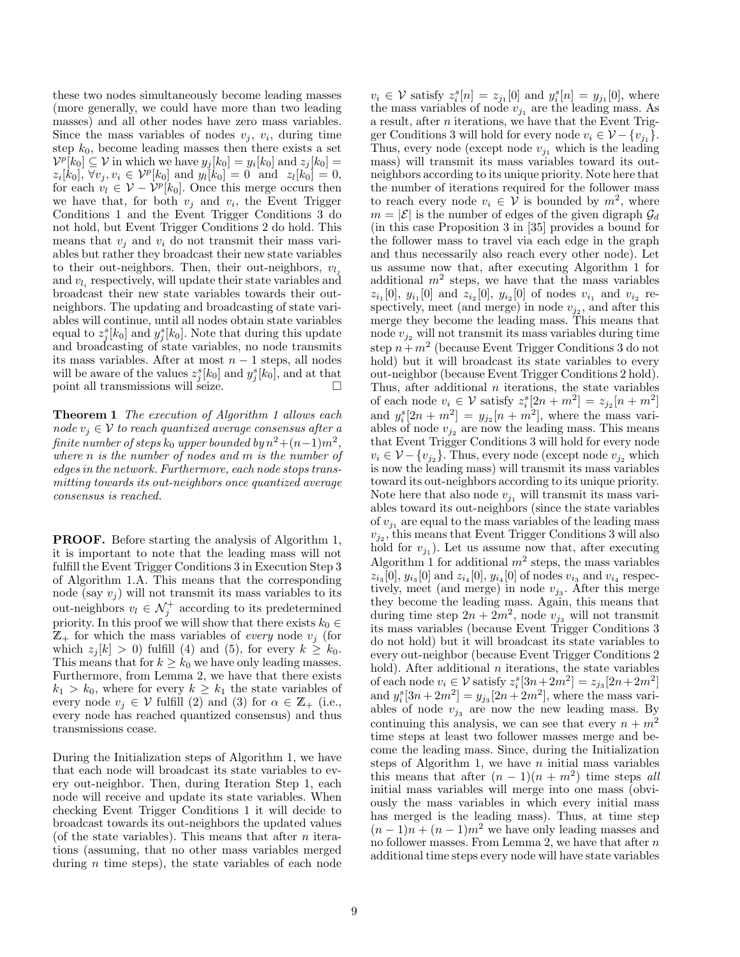these two nodes simultaneously become leading masses (more generally, we could have more than two leading masses) and all other nodes have zero mass variables. Since the mass variables of nodes  $v_j$ ,  $v_i$ , during time step  $k_0$ , become leading masses then there exists a set  $V^p[k_0] \subseteq V$  in which we have  $y_j[k_0] = y_i[k_0]$  and  $z_j[k_0] =$  $z_i[k_0], \,\forall v_j, v_i \in \mathcal{V}^p[k_0] \text{ and } y_i[k_0] = 0 \text{ and } z_i[k_0] = 0,$ for each  $v_l \in \mathcal{V} - \mathcal{V}^p[k_0]$ . Once this merge occurs then we have that, for both  $v_j$  and  $v_i$ , the Event Trigger Conditions 1 and the Event Trigger Conditions 3 do not hold, but Event Trigger Conditions 2 do hold. This means that  $v_i$  and  $v_i$  do not transmit their mass variables but rather they broadcast their new state variables to their out-neighbors. Then, their out-neighbors,  $v_{l_i}$ and  $v_{l_i}$  respectively, will update their state variables and broadcast their new state variables towards their outneighbors. The updating and broadcasting of state variables will continue, until all nodes obtain state variables equal to  $z_j^s[k_0]$  and  $y_j^s[k_0]$ . Note that during this update and broadcasting of state variables, no node transmits its mass variables. After at most  $n-1$  steps, all nodes will be aware of the values  $z_j^s[k_0]$  and  $y_j^s[k_0]$ , and at that point all transmissions will seize.  $\Box$ 

Theorem 1 The execution of Algorithm 1 allows each node  $v_i \in V$  to reach quantized average consensus after a  $\emph{finite number of steps } k_0 \emph{ upper bounded by } n^2 + (n-1)m^2,$ where n is the number of nodes and m is the number of edges in the network. Furthermore, each node stops transmitting towards its out-neighbors once quantized average consensus is reached.

PROOF. Before starting the analysis of Algorithm 1, it is important to note that the leading mass will not fulfill the Event Trigger Conditions 3 in Execution Step 3 of Algorithm 1.A. This means that the corresponding node (say  $v_j$ ) will not transmit its mass variables to its out-neighbors  $v_l \in \mathcal{N}_j^+$  according to its predetermined priority. In this proof we will show that there exists  $k_0 \in$  $\mathbb{Z}_+$  for which the mass variables of *every* node  $v_j$  (for which  $z_i[k] > 0$ ) fulfill (4) and (5), for every  $k \geq k_0$ . This means that for  $k \geq k_0$  we have only leading masses. Furthermore, from Lemma 2, we have that there exists  $k_1 > k_0$ , where for every  $k \geq k_1$  the state variables of every node  $v_j \in V$  fulfill (2) and (3) for  $\alpha \in \mathbb{Z}_+$  (i.e., every node has reached quantized consensus) and thus transmissions cease.

During the Initialization steps of Algorithm 1, we have that each node will broadcast its state variables to every out-neighbor. Then, during Iteration Step 1, each node will receive and update its state variables. When checking Event Trigger Conditions 1 it will decide to broadcast towards its out-neighbors the updated values (of the state variables). This means that after  $n$  iterations (assuming, that no other mass variables merged during  $n$  time steps), the state variables of each node

 $v_i \in \mathcal{V}$  satisfy  $z_i^s[n] = z_{j_1}[0]$  and  $y_i^s[n] = y_{j_1}[0]$ , where the mass variables of node  $v_{j_1}$  are the leading mass. As a result, after n iterations, we have that the Event Trigger Conditions 3 will hold for every node  $v_i \in \mathcal{V} - \{v_{j_1}\}.$ Thus, every node (except node  $v_{j_1}$  which is the leading mass) will transmit its mass variables toward its outneighbors according to its unique priority. Note here that the number of iterations required for the follower mass to reach every node  $v_i \in V$  is bounded by  $m^2$ , where  $m = |\mathcal{E}|$  is the number of edges of the given digraph  $\mathcal{G}_d$ (in this case Proposition 3 in [35] provides a bound for the follower mass to travel via each edge in the graph and thus necessarily also reach every other node). Let us assume now that, after executing Algorithm 1 for additional  $m^2$  steps, we have that the mass variables  $z_{i_1}[0], y_{i_1}[0]$  and  $z_{i_2}[0], y_{i_2}[0]$  of nodes  $v_{i_1}$  and  $v_{i_2}$  respectively, meet (and merge) in node  $v_{j_2}$ , and after this merge they become the leading mass. This means that node  $v_{i2}$  will not transmit its mass variables during time step  $n+m^2$  (because Event Trigger Conditions 3 do not hold) but it will broadcast its state variables to every out-neighbor (because Event Trigger Conditions 2 hold). Thus, after additional  $n$  iterations, the state variables of each node  $v_i \in V$  satisfy  $z_i^s[2n + m^2] = z_{j_2}[n + m^2]$ and  $y_i^s[2n + m^2] = y_{j_2}[n + m^2]$ , where the mass variables of node  $v_{j_2}$  are now the leading mass. This means that Event Trigger Conditions 3 will hold for every node  $v_i \in \mathcal{V} - \{v_{j_2}\}\.$  Thus, every node (except node  $v_{j_2}$  which is now the leading mass) will transmit its mass variables toward its out-neighbors according to its unique priority. Note here that also node  $v_{i_1}$  will transmit its mass variables toward its out-neighbors (since the state variables of  $v_{i_1}$  are equal to the mass variables of the leading mass  $v_{j_2}$ , this means that Event Trigger Conditions 3 will also hold for  $v_{j_1}$ ). Let us assume now that, after executing Algorithm 1 for additional  $m^2$  steps, the mass variables  $z_{i_3}[0], y_{i_3}[0]$  and  $z_{i_4}[0], y_{i_4}[0]$  of nodes  $v_{i_3}$  and  $v_{i_4}$  respectively, meet (and merge) in node  $v_{j_3}$ . After this merge they become the leading mass. Again, this means that during time step  $2n + 2m^2$ , node  $v_{j_3}$  will not transmit its mass variables (because Event Trigger Conditions 3 do not hold) but it will broadcast its state variables to every out-neighbor (because Event Trigger Conditions 2 hold). After additional  $n$  iterations, the state variables of each node  $v_i \in V$  satisfy  $z_i^s[3n+2m^2] = z_{j_3}[2n+2m^2]$ and  $y_i^s[3n + 2m^2] = y_{j_3}[2n + 2m^2]$ , where the mass variables of node  $v_{j_3}$  are now the new leading mass. By continuing this analysis, we can see that every  $n + m^2$ time steps at least two follower masses merge and become the leading mass. Since, during the Initialization steps of Algorithm 1, we have  $n$  initial mass variables this means that after  $(n-1)(n+m^2)$  time steps all initial mass variables will merge into one mass (obviously the mass variables in which every initial mass has merged is the leading mass). Thus, at time step  $(n-1)n + (n-1)m^2$  we have only leading masses and no follower masses. From Lemma 2, we have that after  $n$ additional time steps every node will have state variables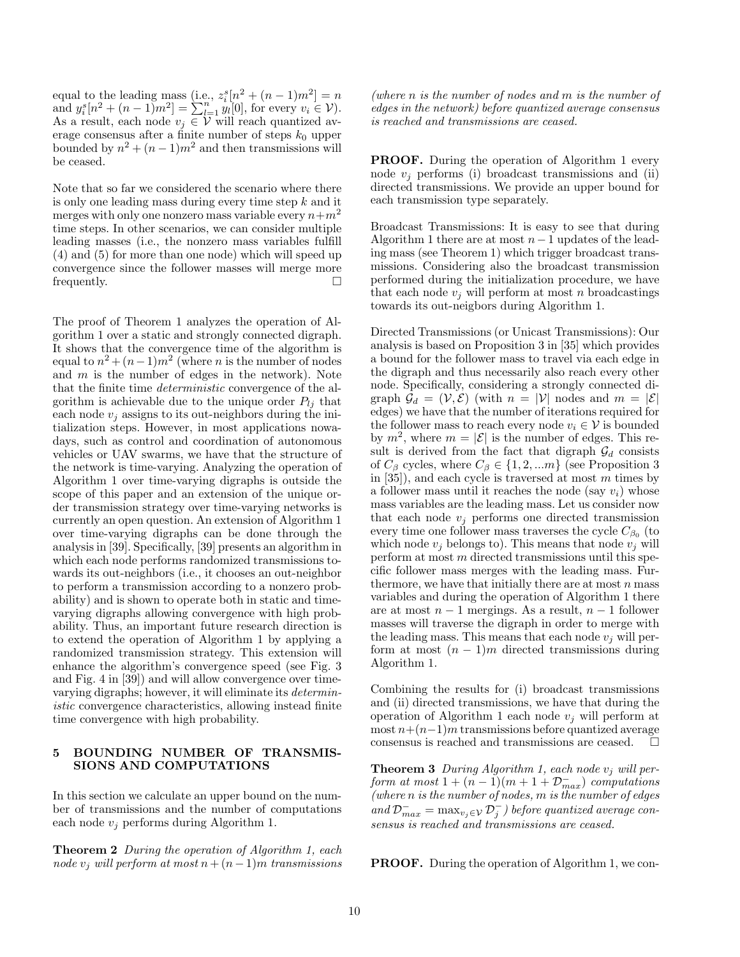equal to the leading mass (i.e.,  $z_i^s[n^2 + (n-1)m^2] = n$ equal to the leading mass (i.e.,  $z_i[n + (n-1)m] = n$ <br>and  $y_i^s[n^2 + (n-1)m^2] = \sum_{l=1}^n y_l[0]$ , for every  $v_i \in V$ ). As a result, each node  $v_j \in V$  will reach quantized average consensus after a finite number of steps  $k_0$  upper bounded by  $n^2 + (n-1)m^2$  and then transmissions will be ceased.

Note that so far we considered the scenario where there is only one leading mass during every time step k and it merges with only one nonzero mass variable every  $n+m^2$ time steps. In other scenarios, we can consider multiple leading masses (i.e., the nonzero mass variables fulfill (4) and (5) for more than one node) which will speed up convergence since the follower masses will merge more frequently.

The proof of Theorem 1 analyzes the operation of Algorithm 1 over a static and strongly connected digraph. It shows that the convergence time of the algorithm is equal to  $n^2 + (n-1)m^2$  (where *n* is the number of nodes and  $m$  is the number of edges in the network). Note that the finite time deterministic convergence of the algorithm is achievable due to the unique order  $P_{li}$  that each node  $v_j$  assigns to its out-neighbors during the initialization steps. However, in most applications nowadays, such as control and coordination of autonomous vehicles or UAV swarms, we have that the structure of the network is time-varying. Analyzing the operation of Algorithm 1 over time-varying digraphs is outside the scope of this paper and an extension of the unique order transmission strategy over time-varying networks is currently an open question. An extension of Algorithm 1 over time-varying digraphs can be done through the analysis in [39]. Specifically, [39] presents an algorithm in which each node performs randomized transmissions towards its out-neighbors (i.e., it chooses an out-neighbor to perform a transmission according to a nonzero probability) and is shown to operate both in static and timevarying digraphs allowing convergence with high probability. Thus, an important future research direction is to extend the operation of Algorithm 1 by applying a randomized transmission strategy. This extension will enhance the algorithm's convergence speed (see Fig. 3 and Fig. 4 in [39]) and will allow convergence over timevarying digraphs; however, it will eliminate its deterministic convergence characteristics, allowing instead finite time convergence with high probability.

#### 5 BOUNDING NUMBER OF TRANSMIS-SIONS AND COMPUTATIONS

In this section we calculate an upper bound on the number of transmissions and the number of computations each node  $v_i$  performs during Algorithm 1.

**Theorem 2** During the operation of Algorithm 1, each node  $v_i$  will perform at most  $n + (n-1)m$  transmissions

(where n is the number of nodes and m is the number of edges in the network) before quantized average consensus is reached and transmissions are ceased.

PROOF. During the operation of Algorithm 1 every node  $v_i$  performs (i) broadcast transmissions and (ii) directed transmissions. We provide an upper bound for each transmission type separately.

Broadcast Transmissions: It is easy to see that during Algorithm 1 there are at most  $n-1$  updates of the leading mass (see Theorem 1) which trigger broadcast transmissions. Considering also the broadcast transmission performed during the initialization procedure, we have that each node  $v_i$  will perform at most n broadcastings towards its out-neigbors during Algorithm 1.

Directed Transmissions (or Unicast Transmissions): Our analysis is based on Proposition 3 in [35] which provides a bound for the follower mass to travel via each edge in the digraph and thus necessarily also reach every other node. Specifically, considering a strongly connected digraph  $\mathcal{G}_d = (\mathcal{V}, \mathcal{E})$  (with  $n = |\mathcal{V}|$  nodes and  $m = |\mathcal{E}|$ edges) we have that the number of iterations required for the follower mass to reach every node  $v_i \in \mathcal{V}$  is bounded by  $m^2$ , where  $m = |\mathcal{E}|$  is the number of edges. This result is derived from the fact that digraph  $\mathcal{G}_d$  consists of  $C_\beta$  cycles, where  $C_\beta \in \{1, 2, ...m\}$  (see Proposition 3 in  $[35]$ , and each cycle is traversed at most m times by a follower mass until it reaches the node (say  $v_i$ ) whose mass variables are the leading mass. Let us consider now that each node  $v_j$  performs one directed transmission every time one follower mass traverses the cycle  $C_{\beta_0}$  (to which node  $v_i$  belongs to). This means that node  $v_i$  will perform at most m directed transmissions until this specific follower mass merges with the leading mass. Furthermore, we have that initially there are at most  $n$  mass variables and during the operation of Algorithm 1 there are at most  $n-1$  mergings. As a result,  $n-1$  follower masses will traverse the digraph in order to merge with the leading mass. This means that each node  $v_i$  will perform at most  $(n-1)m$  directed transmissions during Algorithm 1.

Combining the results for (i) broadcast transmissions and (ii) directed transmissions, we have that during the operation of Algorithm 1 each node  $v_i$  will perform at most  $n+(n-1)m$  transmissions before quantized average consensus is reached and transmissions are ceased.  $\Box$ 

**Theorem 3** During Algorithm 1, each node  $v_j$  will perform at most  $1 + (n-1)(m+1+\mathcal{D}_{max}^-)$  computations (where n is the number of nodes, m is the number of edges and  $\mathcal{D}_{max}^- = \max_{v_j \in \mathcal{V}} \mathcal{D}_j^-$ ) before quantized average consensus is reached and transmissions are ceased.

PROOF. During the operation of Algorithm 1, we con-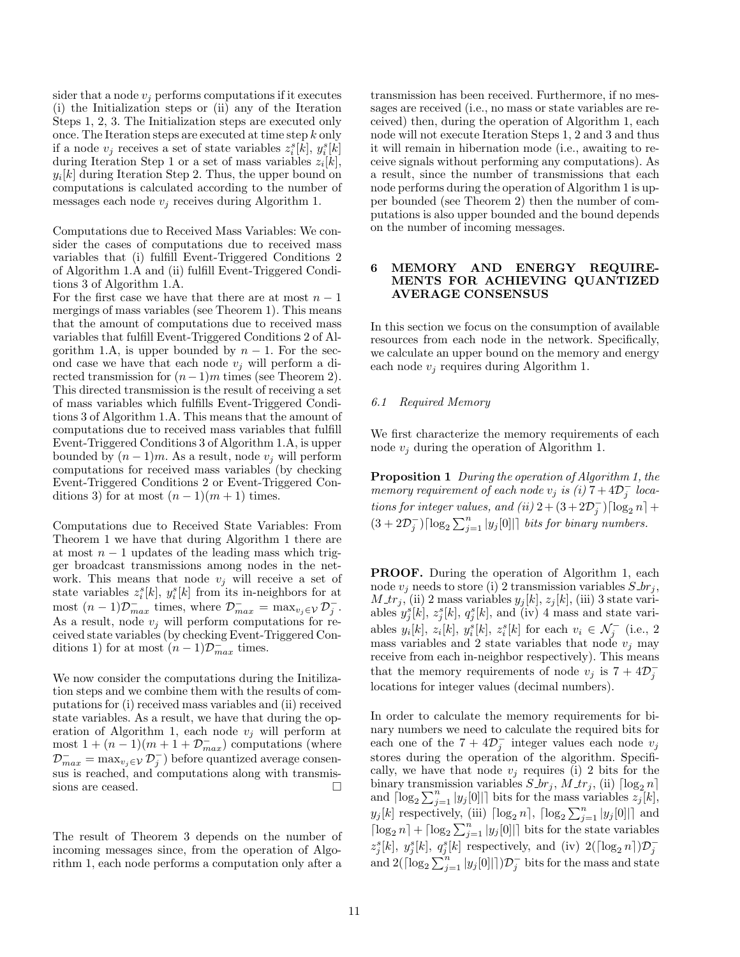sider that a node  $v_i$  performs computations if it executes (i) the Initialization steps or (ii) any of the Iteration Steps 1, 2, 3. The Initialization steps are executed only once. The Iteration steps are executed at time step k only if a node  $v_j$  receives a set of state variables  $z_i^s[k], y_i^s[k]$ during Iteration Step 1 or a set of mass variables  $z_i[k]$ ,  $y_i[k]$  during Iteration Step 2. Thus, the upper bound on computations is calculated according to the number of messages each node  $v_i$  receives during Algorithm 1.

Computations due to Received Mass Variables: We consider the cases of computations due to received mass variables that (i) fulfill Event-Triggered Conditions 2 of Algorithm 1.A and (ii) fulfill Event-Triggered Conditions 3 of Algorithm 1.A.

For the first case we have that there are at most  $n - 1$ mergings of mass variables (see Theorem 1). This means that the amount of computations due to received mass variables that fulfill Event-Triggered Conditions 2 of Algorithm 1.A, is upper bounded by  $n-1$ . For the second case we have that each node  $v_i$  will perform a directed transmission for  $(n-1)m$  times (see Theorem 2). This directed transmission is the result of receiving a set of mass variables which fulfills Event-Triggered Conditions 3 of Algorithm 1.A. This means that the amount of computations due to received mass variables that fulfill Event-Triggered Conditions 3 of Algorithm 1.A, is upper bounded by  $(n-1)m$ . As a result, node  $v_i$  will perform computations for received mass variables (by checking Event-Triggered Conditions 2 or Event-Triggered Conditions 3) for at most  $(n-1)(m+1)$  times.

Computations due to Received State Variables: From Theorem 1 we have that during Algorithm 1 there are at most  $n - 1$  updates of the leading mass which trigger broadcast transmissions among nodes in the network. This means that node  $v_i$  will receive a set of state variables  $z_i^s[k]$ ,  $y_i^s[k]$  from its in-neighbors for at most  $(n-1)\mathcal{D}_{max}^-$  times, where  $\mathcal{D}_{max}^- = \max_{v_j \in \mathcal{V}} \mathcal{D}_j^-$ . As a result, node  $v_j$  will perform computations for received state variables (by checking Event-Triggered Conditions 1) for at most  $(n-1)\mathcal{D}_{max}^-$  times.

We now consider the computations during the Initilization steps and we combine them with the results of computations for (i) received mass variables and (ii) received state variables. As a result, we have that during the operation of Algorithm 1, each node  $v_j$  will perform at most  $1 + (n-1)(m+1+D_{max}^-)$  computations (where  $\mathcal{D}_{max}^- = \max_{v_j \in \mathcal{V}} \mathcal{D}_j^-$  before quantized average consensus is reached, and computations along with transmissions are ceased.

The result of Theorem 3 depends on the number of incoming messages since, from the operation of Algorithm 1, each node performs a computation only after a transmission has been received. Furthermore, if no messages are received (i.e., no mass or state variables are received) then, during the operation of Algorithm 1, each node will not execute Iteration Steps 1, 2 and 3 and thus it will remain in hibernation mode (i.e., awaiting to receive signals without performing any computations). As a result, since the number of transmissions that each node performs during the operation of Algorithm 1 is upper bounded (see Theorem 2) then the number of computations is also upper bounded and the bound depends on the number of incoming messages.

### 6 MEMORY AND ENERGY REQUIRE-MENTS FOR ACHIEVING QUANTIZED AVERAGE CONSENSUS

In this section we focus on the consumption of available resources from each node in the network. Specifically, we calculate an upper bound on the memory and energy each node  $v_j$  requires during Algorithm 1.

## 6.1 Required Memory

We first characterize the memory requirements of each node  $v_i$  during the operation of Algorithm 1.

Proposition 1 During the operation of Algorithm 1, the memory requirement of each node  $v_j$  is (i)  $7+4\mathcal{D}_j^-$  locations for integer values, and (ii)  $2 + (3 + 2D_j^-) [\log_2 n] +$  $(3+2\mathcal{D}_j^-)\lceil \log_2\sum_{j=1}^n|y_j[0]|\rceil$  bits for binary numbers.

PROOF. During the operation of Algorithm 1, each node  $v_j$  needs to store (i) 2 transmission variables  $S_{\mathcal{L}}$ ,  $M_{\perp}$ , (ii) 2 mass variables  $y_j[k], z_j[k]$ , (iii) 3 state variables  $y_j^s[k], z_j^s[k], q_j^s[k]$ , and (iv) 4 mass and state variables  $y_i[k], z_i[k], y_i^s[k], z_i^s[k]$  for each  $v_i \in \mathcal{N}_j^-$  (i.e., 2 mass variables and 2 state variables that node  $v_j$  may receive from each in-neighbor respectively). This means that the memory requirements of node  $v_j$  is  $7 + 4\mathcal{D}_j^$ locations for integer values (decimal numbers).

In order to calculate the memory requirements for binary numbers we need to calculate the required bits for each one of the  $7 + 4\mathcal{D}_j^-$  integer values each node  $v_j$ stores during the operation of the algorithm. Specifically, we have that node  $v_j$  requires (i) 2 bits for the binary transmission variables  $S_{\cdot}br_j$ ,  $M_{\cdot}tr_j$ , (ii)  $\lceil \log_2 n \rceil$ and  $\left[log_2 \sum_{j=1}^n |y_j[0]| \right]$  bits for the mass variables  $z_j[k],$  $y_j[k]$  respectively, (iii)  $\lceil \log_2 n \rceil$ ,  $\lceil \log_2 \sum_{j=1}^n |y_j[0]| \rceil$  and  $\lceil \log_2 n \rceil + \lceil \log_2 \sum_{j=1}^n |y_j[0]| \rceil$  bits for the state variables  $z_j^s[k]$ ,  $y_j^s[k]$ ,  $q_j^s[k]$  respectively, and (iv)  $2(\lceil \log_2 n \rceil) \mathcal{D}_j^$ and  $2(\lceil \log_2 \sum_{j=1}^n |y_j[0]| \rceil)\mathcal{D}_j^-$  bits for the mass and state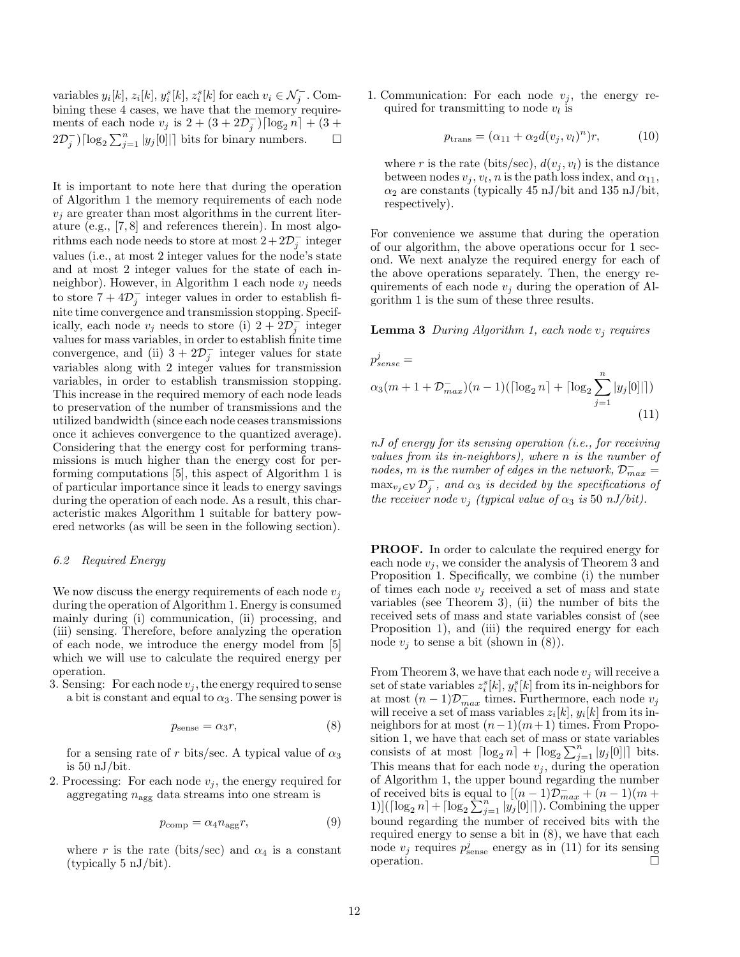variables  $y_i[k], z_i[k], y_i^s[k], z_i^s[k]$  for each  $v_i \in \mathcal{N}_j^-$ . Combining these 4 cases, we have that the memory requirements of each node  $v_j$  is  $2 + (3 + 2D_j^-) [\log_2 n] + (3 +$  $(2\mathcal{D}_{j}^{-})\lceil \log_2 \sum_{j=1}^n |y_j[0]| \rceil$  bits for binary numbers.  $\square$ 

It is important to note here that during the operation of Algorithm 1 the memory requirements of each node  $v_i$  are greater than most algorithms in the current literature (e.g., [7, 8] and references therein). In most algorithms each node needs to store at most  $2+2\mathcal{D}_j^-$  integer values (i.e., at most 2 integer values for the node's state and at most 2 integer values for the state of each inneighbor). However, in Algorithm 1 each node  $v_i$  needs to store  $7 + 4\mathcal{D}_j^-$  integer values in order to establish finite time convergence and transmission stopping. Specifically, each node  $v_j$  needs to store (i)  $2 + 2\mathcal{D}_j^{\geq}$  integer values for mass variables, in order to establish finite time convergence, and (ii)  $3 + 2\mathcal{D}_j^-$  integer values for state variables along with 2 integer values for transmission variables, in order to establish transmission stopping. This increase in the required memory of each node leads to preservation of the number of transmissions and the utilized bandwidth (since each node ceases transmissions once it achieves convergence to the quantized average). Considering that the energy cost for performing transmissions is much higher than the energy cost for performing computations [5], this aspect of Algorithm 1 is of particular importance since it leads to energy savings during the operation of each node. As a result, this characteristic makes Algorithm 1 suitable for battery powered networks (as will be seen in the following section).

#### 6.2 Required Energy

We now discuss the energy requirements of each node  $v_i$ during the operation of Algorithm 1. Energy is consumed mainly during (i) communication, (ii) processing, and (iii) sensing. Therefore, before analyzing the operation of each node, we introduce the energy model from [5] which we will use to calculate the required energy per operation.

3. Sensing: For each node  $v_i$ , the energy required to sense a bit is constant and equal to  $\alpha_3$ . The sensing power is

$$
p_{\text{sense}} = \alpha_3 r,\tag{8}
$$

for a sensing rate of r bits/sec. A typical value of  $\alpha_3$ is 50 nJ/bit.

2. Processing: For each node  $v_i$ , the energy required for aggregating  $n_{\text{agg}}$  data streams into one stream is

$$
p_{\text{comp}} = \alpha_4 n_{\text{agg}} r,\tag{9}
$$

where r is the rate (bits/sec) and  $\alpha_4$  is a constant (typically 5 nJ/bit).

1. Communication: For each node  $v_i$ , the energy required for transmitting to node  $v_l$  is

$$
p_{\text{trans}} = (\alpha_{11} + \alpha_2 d(v_j, v_l)^n)r,\tag{10}
$$

where r is the rate (bits/sec),  $d(v_j, v_l)$  is the distance between nodes  $v_j, v_l, n$  is the path loss index, and  $\alpha_{11}$ ,  $\alpha_2$  are constants (typically 45 nJ/bit and 135 nJ/bit, respectively).

For convenience we assume that during the operation of our algorithm, the above operations occur for 1 second. We next analyze the required energy for each of the above operations separately. Then, the energy requirements of each node  $v_i$  during the operation of Algorithm 1 is the sum of these three results.

**Lemma 3** During Algorithm 1, each node  $v_i$  requires

$$
p_{sense}^{j} =
$$
  
\n
$$
\alpha_3(m+1+\mathcal{D}_{max}^{-})(n-1)(\lceil \log_2 n \rceil + \lceil \log_2 \sum_{j=1}^{n} |y_j[0]| \rceil)
$$
\n(11)

nJ of energy for its sensing operation (i.e., for receiving values from its in-neighbors), where n is the number of nodes, m is the number of edges in the network,  $\mathcal{D}_{max}^ \max_{v_j \in \mathcal{V}} \mathcal{D}_j^-$ , and  $\alpha_3$  is decided by the specifications of the receiver node  $v_i$  (typical value of  $\alpha_3$  is 50 nJ/bit).

PROOF. In order to calculate the required energy for each node  $v_j$ , we consider the analysis of Theorem 3 and Proposition 1. Specifically, we combine (i) the number of times each node  $v_i$  received a set of mass and state variables (see Theorem 3), (ii) the number of bits the received sets of mass and state variables consist of (see Proposition 1), and (iii) the required energy for each node  $v_j$  to sense a bit (shown in  $(8)$ ).

From Theorem 3, we have that each node  $v_i$  will receive a set of state variables  $z_i^s[k], y_i^s[k]$  from its in-neighbors for at most  $(n-1)\mathcal{D}_{max}^-$  times. Furthermore, each node  $v_j$ will receive a set of mass variables  $z_i[k], y_i[k]$  from its inneighbors for at most  $(n-1)(m+1)$  times. From Proposition 1, we have that each set of mass or state variables consists of at most  $\lceil \log_2 n \rceil + \lceil \log_2 \sum_{j=1}^n |y_j[0]| \rceil$  bits. This means that for each node  $v_j$ , during the operation of Algorithm 1, the upper bound regarding the number of received bits is equal to  $[(n-1)\tilde{\mathcal{D}}_{max} + (n-1)(m +$ 1)]( $\lceil \log_2 n \rceil + \lceil \log_2 \sum_{j=1}^n |y_j[0]| \rceil$ ). Combining the upper bound regarding the number of received bits with the required energy to sense a bit in (8), we have that each node  $v_j$  requires  $p_{\text{sense}}^j$  energy as in (11) for its sensing operation.  $\overrightarrow{a}$  is sense  $\overrightarrow{a}$   $\overrightarrow{b}$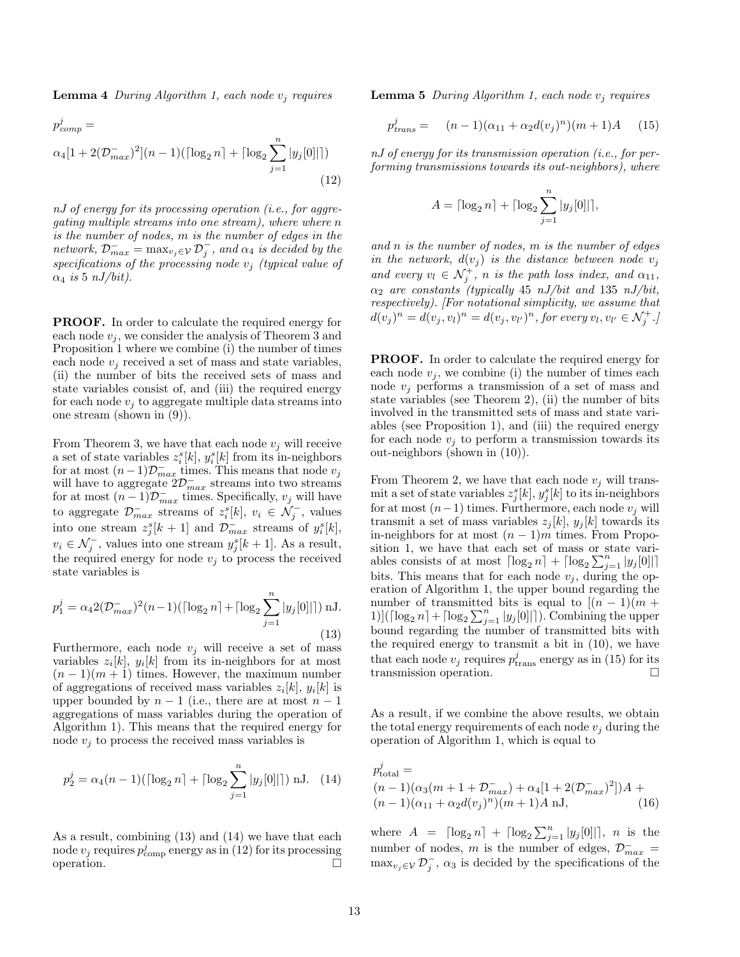**Lemma 4** During Algorithm 1, each node  $v_i$  requires

$$
p_{comp}^{j} = \alpha_{4}[1 + 2(\mathcal{D}_{max}^{-})^{2}](n-1)(\lceil \log_{2} n \rceil + \lceil \log_{2} \sum_{j=1}^{n} |y_{j}[0]|\rceil)
$$
\n(12)

nJ of energy for its processing operation (i.e., for aggregating multiple streams into one stream), where where n is the number of nodes, m is the number of edges in the network,  $\mathcal{D}_{max}^- = \max_{v_j \in \mathcal{V}} \mathcal{D}_j^-$ , and  $\alpha_4$  is decided by the specifications of the processing node  $v_j$  (typical value of  $\alpha_4$  is 5 nJ/bit).

PROOF. In order to calculate the required energy for each node  $v_i$ , we consider the analysis of Theorem 3 and Proposition 1 where we combine (i) the number of times each node  $v_i$  received a set of mass and state variables, (ii) the number of bits the received sets of mass and state variables consist of, and (iii) the required energy for each node  $v_i$  to aggregate multiple data streams into one stream (shown in (9)).

From Theorem 3, we have that each node  $v_j$  will receive a set of state variables  $z_i^s[k], y_i^s[k]$  from its in-neighbors for at most  $(n-1)\mathcal{D}_{max}^-$  times. This means that node  $v_j$ will have to aggregate  $2\mathcal{D}_{max}^-$  streams into two streams for at most  $(n-1)\mathcal{D}_{max}^{-}$  times. Specifically,  $v_j$  will have to aggregate  $\mathcal{D}_{max}^-$  streams of  $z_i^s[k]$ ,  $v_i \in \mathcal{N}_j^-$ , values into one stream  $z_j^s[k+1]$  and  $\mathcal{D}_{max}^-$  streams of  $y_i^s[k]$ ,  $v_i \in \mathcal{N}_j^-$ , values into one stream  $y_j^s[k+1]$ . As a result, the required energy for node  $v_i$  to process the received state variables is

$$
p_1^j = \alpha_4 2(\mathcal{D}_{max}^-)^2 (n-1) ([\log_2 n] + [\log_2 \sum_{j=1}^n |y_j[0]|]) \text{ nJ.}
$$
\n(13)

Furthermore, each node  $v_j$  will receive a set of mass variables  $z_i[k]$ ,  $y_i[k]$  from its in-neighbors for at most  $(n-1)(m+1)$  times. However, the maximum number of aggregations of received mass variables  $z_i[k], y_i[k]$  is upper bounded by  $n-1$  (i.e., there are at most  $n-1$ aggregations of mass variables during the operation of Algorithm 1). This means that the required energy for node  $v_i$  to process the received mass variables is

$$
p_2^j = \alpha_4(n-1)(\lceil \log_2 n \rceil + \lceil \log_2 \sum_{j=1}^n |y_j[0]| \rceil) \text{ nJ. (14)}
$$

As a result, combining (13) and (14) we have that each node  $v_j$  requires  $p_{\text{comp}}^j$  energy as in (12) for its processing operation.  $\Box$ 

**Lemma 5** During Algorithm 1, each node  $v_i$  requires

$$
p_{trans}^{j} = (n-1)(\alpha_{11} + \alpha_2 d(v_j)^n)(m+1)A \quad (15)
$$

nJ of energy for its transmission operation (i.e., for performing transmissions towards its out-neighbors), where

$$
A = \lceil \log_2 n \rceil + \lceil \log_2 \sum_{j=1}^n |y_j[0]| \rceil,
$$

and  $n$  is the number of nodes,  $m$  is the number of edges in the network,  $d(v_i)$  is the distance between node  $v_i$ and every  $v_l \in \mathcal{N}_j^+$ , n is the path loss index, and  $\alpha_{11}$ ,  $\alpha_2$  are constants (typically 45 nJ/bit and 135 nJ/bit, respectively). [For notational simplicity, we assume that  $d(v_j)^n = d(v_j, v_l)^n = d(v_j, v_{l'})^n$ , for every  $v_l, v_{l'} \in \mathcal{N}_j^+$ .

PROOF. In order to calculate the required energy for each node  $v_i$ , we combine (i) the number of times each node  $v_i$  performs a transmission of a set of mass and state variables (see Theorem 2), (ii) the number of bits involved in the transmitted sets of mass and state variables (see Proposition 1), and (iii) the required energy for each node  $v_i$  to perform a transmission towards its out-neighbors (shown in (10)).

From Theorem 2, we have that each node  $v_i$  will transmit a set of state variables  $z_j^s[k], y_j^s[k]$  to its in-neighbors for at most  $(n-1)$  times. Furthermore, each node  $v_i$  will transmit a set of mass variables  $z_i[k], y_i[k]$  towards its in-neighbors for at most  $(n-1)m$  times. From Proposition 1, we have that each set of mass or state variables consists of at most  $\lceil \log_2 n \rceil + \lceil \log_2 \sum_{j=1}^n |y_j[0]| \rceil$ bits. This means that for each node  $v_i$ , during the operation of Algorithm 1, the upper bound regarding the number of transmitted bits is equal to  $[(n-1)(m +$ 1)]( $\lceil \log_2 n \rceil + \lceil \log_2 \sum_{j=1}^n |y_j[0]| \rceil$ ). Combining the upper bound regarding the number of transmitted bits with the required energy to transmit a bit in (10), we have that each node  $v_j$  requires  $p_{\text{trans}}^j$  energy as in (15) for its transmission operation.

As a result, if we combine the above results, we obtain the total energy requirements of each node  $v_i$  during the operation of Algorithm 1, which is equal to

$$
p_{\text{total}}^{j} = (n-1)(\alpha_3(m+1+\mathcal{D}_{max}^{-}) + \alpha_4[1+2(\mathcal{D}_{max}^{-})^2])A + (n-1)(\alpha_{11} + \alpha_2 d(v_j)^n)(m+1)A \text{ nJ}, \qquad (16)
$$

where  $A = \left[ \log_2 n \right] + \left[ \log_2 \sum_{j=1}^n |y_j[0]| \right], n$  is the number of nodes, m is the number of edges,  $\mathcal{D}^-_{max}$  =  $\max_{v_j \in \mathcal{V}} \mathcal{D}_j^-$ ,  $\alpha_3$  is decided by the specifications of the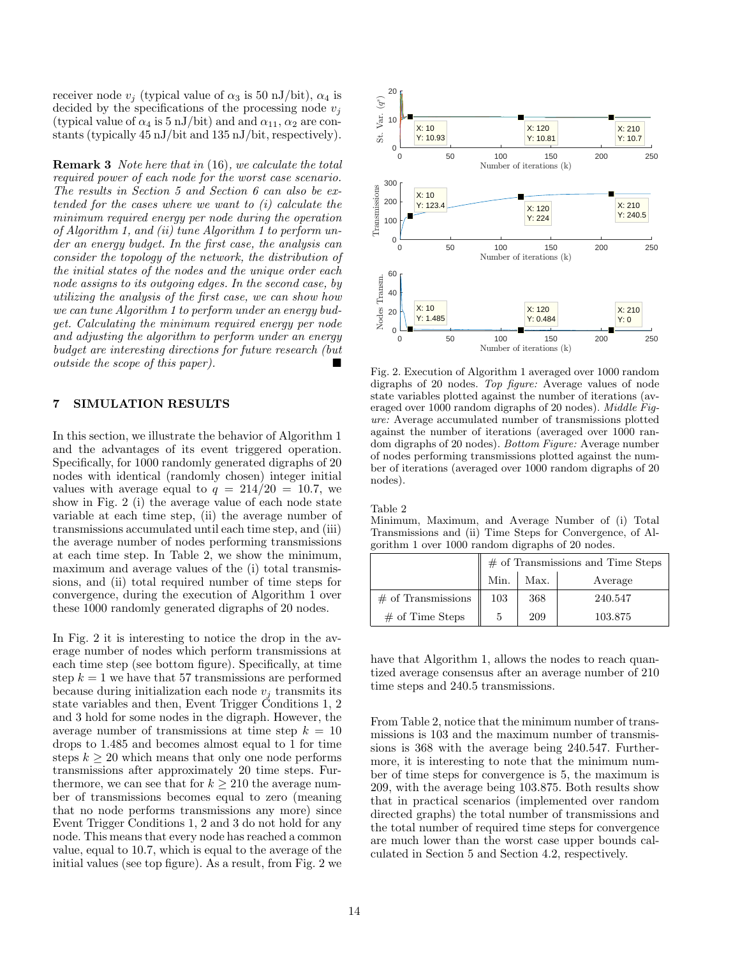receiver node  $v_i$  (typical value of  $\alpha_3$  is 50 nJ/bit),  $\alpha_4$  is decided by the specifications of the processing node  $v_i$ (typical value of  $\alpha_4$  is 5 nJ/bit) and and  $\alpha_{11}$ ,  $\alpha_2$  are constants (typically 45 nJ/bit and 135 nJ/bit, respectively).

Remark 3 Note here that in (16), we calculate the total required power of each node for the worst case scenario. The results in Section 5 and Section 6 can also be extended for the cases where we want to (i) calculate the minimum required energy per node during the operation of Algorithm 1, and (ii) tune Algorithm 1 to perform under an energy budget. In the first case, the analysis can consider the topology of the network, the distribution of the initial states of the nodes and the unique order each node assigns to its outgoing edges. In the second case, by utilizing the analysis of the first case, we can show how we can tune Algorithm 1 to perform under an energy budget. Calculating the minimum required energy per node and adjusting the algorithm to perform under an energy budget are interesting directions for future research (but *outside the scope of this paper*).

### 7 SIMULATION RESULTS

In this section, we illustrate the behavior of Algorithm 1 and the advantages of its event triggered operation. Specifically, for 1000 randomly generated digraphs of 20 nodes with identical (randomly chosen) integer initial values with average equal to  $q = 214/20 = 10.7$ , we show in Fig. 2 (i) the average value of each node state variable at each time step, (ii) the average number of transmissions accumulated until each time step, and (iii) the average number of nodes performing transmissions at each time step. In Table 2, we show the minimum, maximum and average values of the (i) total transmissions, and (ii) total required number of time steps for convergence, during the execution of Algorithm 1 over these 1000 randomly generated digraphs of 20 nodes.

In Fig. 2 it is interesting to notice the drop in the average number of nodes which perform transmissions at each time step (see bottom figure). Specifically, at time step  $k = 1$  we have that 57 transmissions are performed because during initialization each node  $v_i$  transmits its state variables and then, Event Trigger Conditions 1, 2 and 3 hold for some nodes in the digraph. However, the average number of transmissions at time step  $k = 10$ drops to 1.485 and becomes almost equal to 1 for time steps  $k \geq 20$  which means that only one node performs transmissions after approximately 20 time steps. Furthermore, we can see that for  $k \geq 210$  the average number of transmissions becomes equal to zero (meaning that no node performs transmissions any more) since Event Trigger Conditions 1, 2 and 3 do not hold for any node. This means that every node has reached a common value, equal to 10.7, which is equal to the average of the initial values (see top figure). As a result, from Fig. 2 we



Fig. 2. Execution of Algorithm 1 averaged over 1000 random digraphs of 20 nodes. Top figure: Average values of node state variables plotted against the number of iterations (averaged over 1000 random digraphs of 20 nodes). Middle Figure: Average accumulated number of transmissions plotted against the number of iterations (averaged over 1000 random digraphs of 20 nodes). Bottom Figure: Average number of nodes performing transmissions plotted against the number of iterations (averaged over 1000 random digraphs of 20 nodes).

Table 2

Minimum, Maximum, and Average Number of (i) Total Transmissions and (ii) Time Steps for Convergence, of Algorithm 1 over 1000 random digraphs of 20 nodes.

|                            | $\parallel \#$ of Transmissions and Time Steps |      |         |  |
|----------------------------|------------------------------------------------|------|---------|--|
|                            | Min.                                           | Max. | Average |  |
| $\#$ of Transmissions $\ $ | 103                                            | 368  | 240.547 |  |
| $#$ of Time Steps          | 5                                              | 209  | 103.875 |  |

have that Algorithm 1, allows the nodes to reach quantized average consensus after an average number of 210 time steps and 240.5 transmissions.

From Table 2, notice that the minimum number of transmissions is 103 and the maximum number of transmissions is 368 with the average being 240.547. Furthermore, it is interesting to note that the minimum number of time steps for convergence is 5, the maximum is 209, with the average being 103.875. Both results show that in practical scenarios (implemented over random directed graphs) the total number of transmissions and the total number of required time steps for convergence are much lower than the worst case upper bounds calculated in Section 5 and Section 4.2, respectively.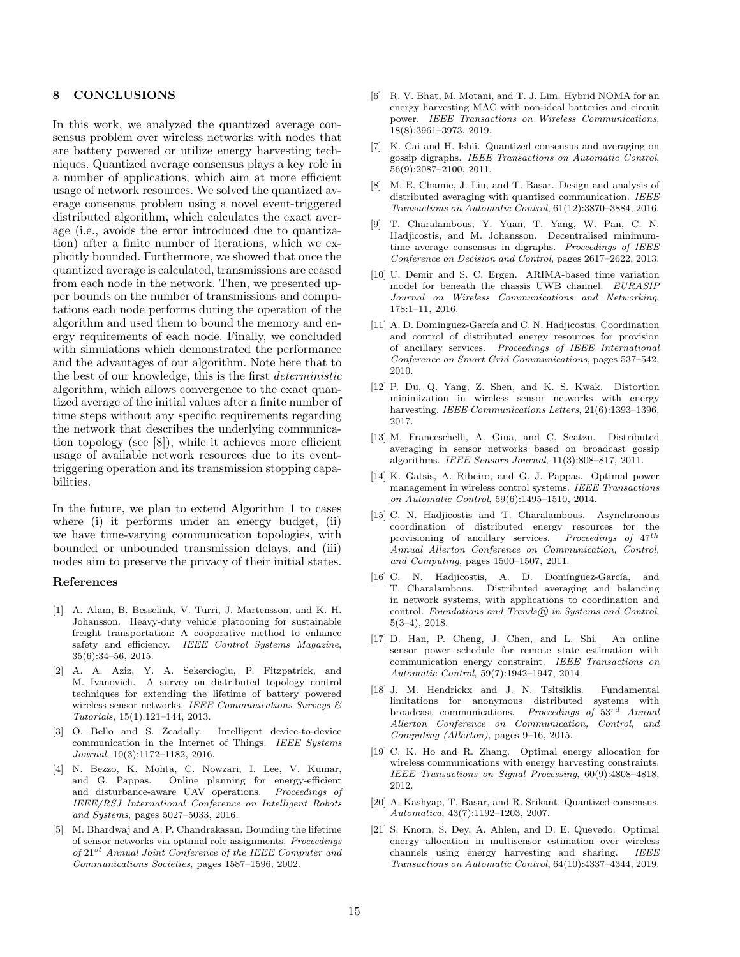#### 8 CONCLUSIONS

In this work, we analyzed the quantized average consensus problem over wireless networks with nodes that are battery powered or utilize energy harvesting techniques. Quantized average consensus plays a key role in a number of applications, which aim at more efficient usage of network resources. We solved the quantized average consensus problem using a novel event-triggered distributed algorithm, which calculates the exact average (i.e., avoids the error introduced due to quantization) after a finite number of iterations, which we explicitly bounded. Furthermore, we showed that once the quantized average is calculated, transmissions are ceased from each node in the network. Then, we presented upper bounds on the number of transmissions and computations each node performs during the operation of the algorithm and used them to bound the memory and energy requirements of each node. Finally, we concluded with simulations which demonstrated the performance and the advantages of our algorithm. Note here that to the best of our knowledge, this is the first deterministic algorithm, which allows convergence to the exact quantized average of the initial values after a finite number of time steps without any specific requirements regarding the network that describes the underlying communication topology (see [8]), while it achieves more efficient usage of available network resources due to its eventtriggering operation and its transmission stopping capabilities.

In the future, we plan to extend Algorithm 1 to cases where (i) it performs under an energy budget, (ii) we have time-varying communication topologies, with bounded or unbounded transmission delays, and (iii) nodes aim to preserve the privacy of their initial states.

#### References

- [1] A. Alam, B. Besselink, V. Turri, J. Martensson, and K. H. Johansson. Heavy-duty vehicle platooning for sustainable freight transportation: A cooperative method to enhance safety and efficiency. IEEE Control Systems Magazine, 35(6):34–56, 2015.
- [2] A. A. Aziz, Y. A. Sekercioglu, P. Fitzpatrick, and M. Ivanovich. A survey on distributed topology control techniques for extending the lifetime of battery powered wireless sensor networks. IEEE Communications Surveys & Tutorials, 15(1):121–144, 2013.
- [3] O. Bello and S. Zeadally. Intelligent device-to-device communication in the Internet of Things. IEEE Systems Journal, 10(3):1172–1182, 2016.
- [4] N. Bezzo, K. Mohta, C. Nowzari, I. Lee, V. Kumar, and G. Pappas. Online planning for energy-efficient and disturbance-aware UAV operations. Proceedings of IEEE/RSJ International Conference on Intelligent Robots and Systems, pages 5027–5033, 2016.
- [5] M. Bhardwaj and A. P. Chandrakasan. Bounding the lifetime of sensor networks via optimal role assignments. Proceedings of 21st Annual Joint Conference of the IEEE Computer and Communications Societies, pages 1587–1596, 2002.
- [6] R. V. Bhat, M. Motani, and T. J. Lim. Hybrid NOMA for an energy harvesting MAC with non-ideal batteries and circuit power. IEEE Transactions on Wireless Communications, 18(8):3961–3973, 2019.
- [7] K. Cai and H. Ishii. Quantized consensus and averaging on gossip digraphs. IEEE Transactions on Automatic Control, 56(9):2087–2100, 2011.
- [8] M. E. Chamie, J. Liu, and T. Basar. Design and analysis of distributed averaging with quantized communication. IEEE Transactions on Automatic Control, 61(12):3870–3884, 2016.
- [9] T. Charalambous, Y. Yuan, T. Yang, W. Pan, C. N. Hadjicostis, and M. Johansson. Decentralised minimumtime average consensus in digraphs. Proceedings of IEEE Conference on Decision and Control, pages 2617–2622, 2013.
- [10] U. Demir and S. C. Ergen. ARIMA-based time variation model for beneath the chassis UWB channel. EURASIP Journal on Wireless Communications and Networking, 178:1–11, 2016.
- [11] A. D. Domínguez-García and C. N. Hadjicostis. Coordination and control of distributed energy resources for provision of ancillary services. Proceedings of IEEE International Conference on Smart Grid Communications, pages 537–542, 2010.
- [12] P. Du, Q. Yang, Z. Shen, and K. S. Kwak. Distortion minimization in wireless sensor networks with energy harvesting. IEEE Communications Letters, 21(6):1393–1396, 2017.
- [13] M. Franceschelli, A. Giua, and C. Seatzu. Distributed averaging in sensor networks based on broadcast gossip algorithms. IEEE Sensors Journal, 11(3):808–817, 2011.
- [14] K. Gatsis, A. Ribeiro, and G. J. Pappas. Optimal power management in wireless control systems. IEEE Transactions on Automatic Control, 59(6):1495–1510, 2014.
- [15] C. N. Hadjicostis and T. Charalambous. Asynchronous coordination of distributed energy resources for the provisioning of ancillary services. Proceedings of 47th Annual Allerton Conference on Communication, Control, and Computing, pages 1500–1507, 2011.
- [16] C. N. Hadjicostis, A. D. Domínguez-García, and T. Charalambous. Distributed averaging and balancing in network systems, with applications to coordination and control. Foundations and Trends $(\widehat{R})$  in Systems and Control, 5(3–4), 2018.
- [17] D. Han, P. Cheng, J. Chen, and L. Shi. An online sensor power schedule for remote state estimation with communication energy constraint. IEEE Transactions on Automatic Control, 59(7):1942–1947, 2014.
- [18] J. M. Hendrickx and J. N. Tsitsiklis. Fundamental limitations for anonymous distributed systems with broadcast communications. Proceedings of  $53^{rd}$  Annual Allerton Conference on Communication, Control, and Computing (Allerton), pages 9–16, 2015.
- [19] C. K. Ho and R. Zhang. Optimal energy allocation for wireless communications with energy harvesting constraints. IEEE Transactions on Signal Processing, 60(9):4808–4818, 2012.
- [20] A. Kashyap, T. Basar, and R. Srikant. Quantized consensus. Automatica, 43(7):1192–1203, 2007.
- [21] S. Knorn, S. Dey, A. Ahlen, and D. E. Quevedo. Optimal energy allocation in multisensor estimation over wireless channels using energy harvesting and sharing. IEEE Transactions on Automatic Control, 64(10):4337–4344, 2019.